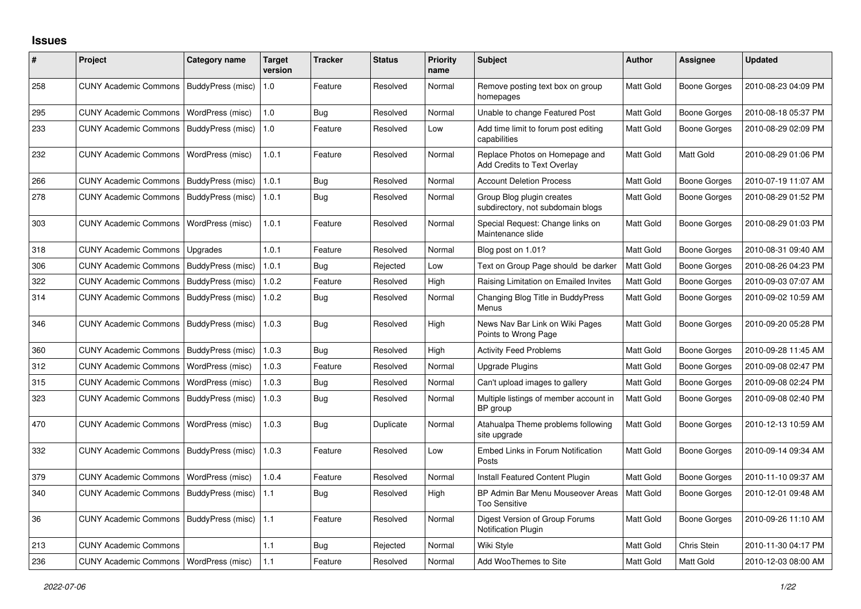## **Issues**

| #   | Project                                  | <b>Category name</b> | <b>Target</b><br>version | <b>Tracker</b> | <b>Status</b> | <b>Priority</b><br>name | <b>Subject</b>                                                       | <b>Author</b>    | <b>Assignee</b>     | <b>Updated</b>      |
|-----|------------------------------------------|----------------------|--------------------------|----------------|---------------|-------------------------|----------------------------------------------------------------------|------------------|---------------------|---------------------|
| 258 | <b>CUNY Academic Commons</b>             | BuddyPress (misc)    | 1.0                      | Feature        | Resolved      | Normal                  | Remove posting text box on group<br>homepages                        | Matt Gold        | Boone Gorges        | 2010-08-23 04:09 PM |
| 295 | <b>CUNY Academic Commons</b>             | WordPress (misc)     | 1.0                      | Bug            | Resolved      | Normal                  | Unable to change Featured Post                                       | Matt Gold        | Boone Gorges        | 2010-08-18 05:37 PM |
| 233 | <b>CUNY Academic Commons</b>             | BuddyPress (misc)    | 1.0                      | Feature        | Resolved      | Low                     | Add time limit to forum post editing<br>capabilities                 | Matt Gold        | Boone Gorges        | 2010-08-29 02:09 PM |
| 232 | <b>CUNY Academic Commons</b>             | WordPress (misc)     | 1.0.1                    | Feature        | Resolved      | Normal                  | Replace Photos on Homepage and<br><b>Add Credits to Text Overlay</b> | Matt Gold        | Matt Gold           | 2010-08-29 01:06 PM |
| 266 | <b>CUNY Academic Commons</b>             | BuddyPress (misc)    | 1.0.1                    | Bug            | Resolved      | Normal                  | <b>Account Deletion Process</b>                                      | Matt Gold        | Boone Gorges        | 2010-07-19 11:07 AM |
| 278 | <b>CUNY Academic Commons</b>             | BuddyPress (misc)    | 1.0.1                    | Bug            | Resolved      | Normal                  | Group Blog plugin creates<br>subdirectory, not subdomain blogs       | Matt Gold        | Boone Gorges        | 2010-08-29 01:52 PM |
| 303 | <b>CUNY Academic Commons</b>             | WordPress (misc)     | 1.0.1                    | Feature        | Resolved      | Normal                  | Special Request: Change links on<br>Maintenance slide                | Matt Gold        | Boone Gorges        | 2010-08-29 01:03 PM |
| 318 | <b>CUNY Academic Commons</b>             | Upgrades             | 1.0.1                    | Feature        | Resolved      | Normal                  | Blog post on 1.01?                                                   | <b>Matt Gold</b> | <b>Boone Gorges</b> | 2010-08-31 09:40 AM |
| 306 | <b>CUNY Academic Commons</b>             | BuddyPress (misc)    | 1.0.1                    | Bug            | Rejected      | Low                     | Text on Group Page should be darker                                  | Matt Gold        | Boone Gorges        | 2010-08-26 04:23 PM |
| 322 | <b>CUNY Academic Commons</b>             | BuddyPress (misc)    | 1.0.2                    | Feature        | Resolved      | High                    | Raising Limitation on Emailed Invites                                | Matt Gold        | Boone Gorges        | 2010-09-03 07:07 AM |
| 314 | <b>CUNY Academic Commons</b>             | BuddyPress (misc)    | 1.0.2                    | Bug            | Resolved      | Normal                  | Changing Blog Title in BuddyPress<br>Menus                           | Matt Gold        | Boone Gorges        | 2010-09-02 10:59 AM |
| 346 | <b>CUNY Academic Commons</b>             | BuddyPress (misc)    | 1.0.3                    | Bug            | Resolved      | High                    | News Nav Bar Link on Wiki Pages<br>Points to Wrong Page              | Matt Gold        | Boone Gorges        | 2010-09-20 05:28 PM |
| 360 | <b>CUNY Academic Commons</b>             | BuddyPress (misc)    | 1.0.3                    | <b>Bug</b>     | Resolved      | High                    | <b>Activity Feed Problems</b>                                        | Matt Gold        | <b>Boone Gorges</b> | 2010-09-28 11:45 AM |
| 312 | <b>CUNY Academic Commons</b>             | WordPress (misc)     | 1.0.3                    | Feature        | Resolved      | Normal                  | <b>Upgrade Plugins</b>                                               | Matt Gold        | Boone Gorges        | 2010-09-08 02:47 PM |
| 315 | <b>CUNY Academic Commons</b>             | WordPress (misc)     | 1.0.3                    | Bug            | Resolved      | Normal                  | Can't upload images to gallery                                       | Matt Gold        | Boone Gorges        | 2010-09-08 02:24 PM |
| 323 | <b>CUNY Academic Commons</b>             | BuddyPress (misc)    | 1.0.3                    | Bug            | Resolved      | Normal                  | Multiple listings of member account in<br>BP group                   | Matt Gold        | Boone Gorges        | 2010-09-08 02:40 PM |
| 470 | <b>CUNY Academic Commons</b>             | WordPress (misc)     | 1.0.3                    | <b>Bug</b>     | Duplicate     | Normal                  | Atahualpa Theme problems following<br>site upgrade                   | Matt Gold        | Boone Gorges        | 2010-12-13 10:59 AM |
| 332 | <b>CUNY Academic Commons</b>             | BuddyPress (misc)    | 1.0.3                    | Feature        | Resolved      | Low                     | Embed Links in Forum Notification<br>Posts                           | Matt Gold        | Boone Gorges        | 2010-09-14 09:34 AM |
| 379 | <b>CUNY Academic Commons</b>             | WordPress (misc)     | 1.0.4                    | Feature        | Resolved      | Normal                  | Install Featured Content Plugin                                      | Matt Gold        | Boone Gorges        | 2010-11-10 09:37 AM |
| 340 | <b>CUNY Academic Commons</b>             | BuddyPress (misc)    | 1.1                      | Bug            | Resolved      | High                    | BP Admin Bar Menu Mouseover Areas<br><b>Too Sensitive</b>            | <b>Matt Gold</b> | Boone Gorges        | 2010-12-01 09:48 AM |
| 36  | <b>CUNY Academic Commons</b>             | BuddyPress (misc)    | 1.1                      | Feature        | Resolved      | Normal                  | Digest Version of Group Forums<br><b>Notification Plugin</b>         | <b>Matt Gold</b> | Boone Gorges        | 2010-09-26 11:10 AM |
| 213 | <b>CUNY Academic Commons</b>             |                      | 1.1                      | Bug            | Rejected      | Normal                  | Wiki Style                                                           | Matt Gold        | Chris Stein         | 2010-11-30 04:17 PM |
| 236 | CUNY Academic Commons   WordPress (misc) |                      | 1.1                      | Feature        | Resolved      | Normal                  | Add WooThemes to Site                                                | Matt Gold        | Matt Gold           | 2010-12-03 08:00 AM |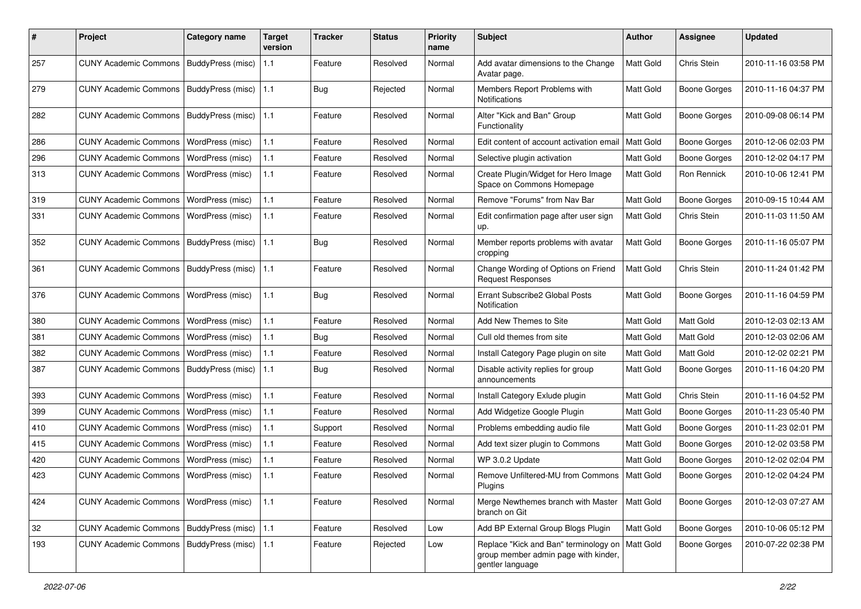| #   | Project                                   | <b>Category name</b> | <b>Target</b><br>version | <b>Tracker</b> | <b>Status</b> | <b>Priority</b><br>name | Subject                                                                                           | <b>Author</b>    | Assignee            | Updated             |
|-----|-------------------------------------------|----------------------|--------------------------|----------------|---------------|-------------------------|---------------------------------------------------------------------------------------------------|------------------|---------------------|---------------------|
| 257 | CUNY Academic Commons   BuddyPress (misc) |                      | 1.1                      | Feature        | Resolved      | Normal                  | Add avatar dimensions to the Change<br>Avatar page.                                               | Matt Gold        | Chris Stein         | 2010-11-16 03:58 PM |
| 279 | <b>CUNY Academic Commons</b>              | BuddyPress (misc)    | 1.1                      | Bug            | Rejected      | Normal                  | Members Report Problems with<br>Notifications                                                     | Matt Gold        | Boone Gorges        | 2010-11-16 04:37 PM |
| 282 | <b>CUNY Academic Commons</b>              | BuddyPress (misc)    | 1.1                      | Feature        | Resolved      | Normal                  | Alter "Kick and Ban" Group<br>Functionality                                                       | Matt Gold        | Boone Gorges        | 2010-09-08 06:14 PM |
| 286 | <b>CUNY Academic Commons</b>              | WordPress (misc)     | 1.1                      | Feature        | Resolved      | Normal                  | Edit content of account activation email                                                          | <b>Matt Gold</b> | <b>Boone Gorges</b> | 2010-12-06 02:03 PM |
| 296 | <b>CUNY Academic Commons</b>              | WordPress (misc)     | 1.1                      | Feature        | Resolved      | Normal                  | Selective plugin activation                                                                       | Matt Gold        | Boone Gorges        | 2010-12-02 04:17 PM |
| 313 | <b>CUNY Academic Commons</b>              | WordPress (misc)     | 1.1                      | Feature        | Resolved      | Normal                  | Create Plugin/Widget for Hero Image<br>Space on Commons Homepage                                  | Matt Gold        | Ron Rennick         | 2010-10-06 12:41 PM |
| 319 | <b>CUNY Academic Commons</b>              | WordPress (misc)     | 1.1                      | Feature        | Resolved      | Normal                  | Remove "Forums" from Nav Bar                                                                      | Matt Gold        | <b>Boone Gorges</b> | 2010-09-15 10:44 AM |
| 331 | <b>CUNY Academic Commons</b>              | WordPress (misc)     | 1.1                      | Feature        | Resolved      | Normal                  | Edit confirmation page after user sign<br>up.                                                     | Matt Gold        | Chris Stein         | 2010-11-03 11:50 AM |
| 352 | <b>CUNY Academic Commons</b>              | BuddyPress (misc)    | 1.1                      | Bug            | Resolved      | Normal                  | Member reports problems with avatar<br>cropping                                                   | Matt Gold        | <b>Boone Gorges</b> | 2010-11-16 05:07 PM |
| 361 | <b>CUNY Academic Commons</b>              | BuddyPress (misc)    | 1.1                      | Feature        | Resolved      | Normal                  | Change Wording of Options on Friend<br><b>Request Responses</b>                                   | Matt Gold        | Chris Stein         | 2010-11-24 01:42 PM |
| 376 | <b>CUNY Academic Commons</b>              | WordPress (misc)     | 1.1                      | Bug            | Resolved      | Normal                  | Errant Subscribe2 Global Posts<br>Notification                                                    | Matt Gold        | Boone Gorges        | 2010-11-16 04:59 PM |
| 380 | <b>CUNY Academic Commons</b>              | WordPress (misc)     | 1.1                      | Feature        | Resolved      | Normal                  | Add New Themes to Site                                                                            | <b>Matt Gold</b> | Matt Gold           | 2010-12-03 02:13 AM |
| 381 | <b>CUNY Academic Commons</b>              | WordPress (misc)     | 1.1                      | Bug            | Resolved      | Normal                  | Cull old themes from site                                                                         | Matt Gold        | Matt Gold           | 2010-12-03 02:06 AM |
| 382 | <b>CUNY Academic Commons</b>              | WordPress (misc)     | 1.1                      | Feature        | Resolved      | Normal                  | Install Category Page plugin on site                                                              | Matt Gold        | Matt Gold           | 2010-12-02 02:21 PM |
| 387 | <b>CUNY Academic Commons</b>              | BuddyPress (misc)    | 1.1                      | Bug            | Resolved      | Normal                  | Disable activity replies for group<br>announcements                                               | Matt Gold        | Boone Gorges        | 2010-11-16 04:20 PM |
| 393 | <b>CUNY Academic Commons</b>              | WordPress (misc)     | 1.1                      | Feature        | Resolved      | Normal                  | Install Category Exlude plugin                                                                    | Matt Gold        | Chris Stein         | 2010-11-16 04:52 PM |
| 399 | <b>CUNY Academic Commons</b>              | WordPress (misc)     | 1.1                      | Feature        | Resolved      | Normal                  | Add Widgetize Google Plugin                                                                       | Matt Gold        | <b>Boone Gorges</b> | 2010-11-23 05:40 PM |
| 410 | <b>CUNY Academic Commons</b>              | WordPress (misc)     | 1.1                      | Support        | Resolved      | Normal                  | Problems embedding audio file                                                                     | Matt Gold        | <b>Boone Gorges</b> | 2010-11-23 02:01 PM |
| 415 | <b>CUNY Academic Commons</b>              | WordPress (misc)     | 1.1                      | Feature        | Resolved      | Normal                  | Add text sizer plugin to Commons                                                                  | Matt Gold        | Boone Gorges        | 2010-12-02 03:58 PM |
| 420 | <b>CUNY Academic Commons</b>              | WordPress (misc)     | 1.1                      | Feature        | Resolved      | Normal                  | WP 3.0.2 Update                                                                                   | Matt Gold        | <b>Boone Gorges</b> | 2010-12-02 02:04 PM |
| 423 | CUNY Academic Commons   WordPress (misc)  |                      | 1.1                      | Feature        | Resolved      | Normal                  | Remove Unfiltered-MU from Commons<br>Plugins                                                      | <b>Matt Gold</b> | Boone Gorges        | 2010-12-02 04:24 PM |
| 424 | <b>CUNY Academic Commons</b>              | WordPress (misc)     | 1.1                      | Feature        | Resolved      | Normal                  | Merge Newthemes branch with Master<br>branch on Git                                               | Matt Gold        | <b>Boone Gorges</b> | 2010-12-03 07:27 AM |
| 32  | CUNY Academic Commons   BuddyPress (misc) |                      | 1.1                      | Feature        | Resolved      | Low                     | Add BP External Group Blogs Plugin                                                                | Matt Gold        | Boone Gorges        | 2010-10-06 05:12 PM |
| 193 | CUNY Academic Commons   BuddyPress (misc) |                      | 1.1                      | Feature        | Rejected      | Low                     | Replace "Kick and Ban" terminology on<br>group member admin page with kinder,<br>gentler language | <b>Matt Gold</b> | Boone Gorges        | 2010-07-22 02:38 PM |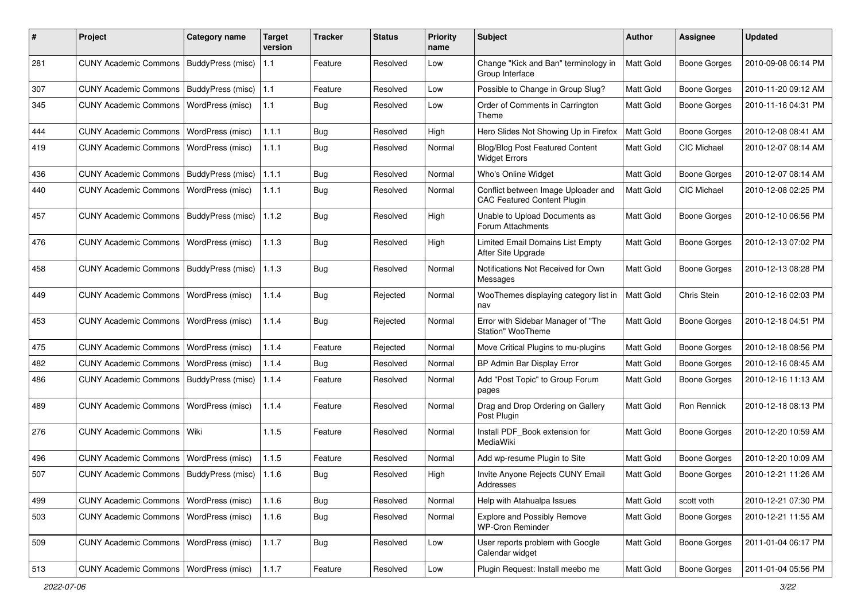| $\pmb{\#}$ | Project                                   | <b>Category name</b>     | <b>Target</b><br>version | <b>Tracker</b> | <b>Status</b> | <b>Priority</b><br>name | Subject                                                                   | <b>Author</b>    | Assignee            | <b>Updated</b>      |
|------------|-------------------------------------------|--------------------------|--------------------------|----------------|---------------|-------------------------|---------------------------------------------------------------------------|------------------|---------------------|---------------------|
| 281        | <b>CUNY Academic Commons</b>              | <b>BuddyPress (misc)</b> | 1.1                      | Feature        | Resolved      | Low                     | Change "Kick and Ban" terminology in<br>Group Interface                   | Matt Gold        | <b>Boone Gorges</b> | 2010-09-08 06:14 PM |
| 307        | <b>CUNY Academic Commons</b>              | BuddyPress (misc)        | 1.1                      | Feature        | Resolved      | Low                     | Possible to Change in Group Slug?                                         | Matt Gold        | <b>Boone Gorges</b> | 2010-11-20 09:12 AM |
| 345        | <b>CUNY Academic Commons</b>              | <b>WordPress (misc)</b>  | 1.1                      | Bug            | Resolved      | Low                     | Order of Comments in Carrington<br>Theme                                  | Matt Gold        | Boone Gorges        | 2010-11-16 04:31 PM |
| 444        | <b>CUNY Academic Commons</b>              | <b>WordPress (misc)</b>  | 1.1.1                    | Bug            | Resolved      | High                    | Hero Slides Not Showing Up in Firefox                                     | Matt Gold        | <b>Boone Gorges</b> | 2010-12-08 08:41 AM |
| 419        | <b>CUNY Academic Commons</b>              | WordPress (misc)         | 1.1.1                    | <b>Bug</b>     | Resolved      | Normal                  | Blog/Blog Post Featured Content<br><b>Widget Errors</b>                   | Matt Gold        | <b>CIC Michael</b>  | 2010-12-07 08:14 AM |
| 436        | <b>CUNY Academic Commons</b>              | BuddyPress (misc)        | 1.1.1                    | Bug            | Resolved      | Normal                  | Who's Online Widget                                                       | Matt Gold        | <b>Boone Gorges</b> | 2010-12-07 08:14 AM |
| 440        | <b>CUNY Academic Commons</b>              | WordPress (misc)         | 1.1.1                    | Bug            | Resolved      | Normal                  | Conflict between Image Uploader and<br><b>CAC Featured Content Plugin</b> | Matt Gold        | <b>CIC Michael</b>  | 2010-12-08 02:25 PM |
| 457        | <b>CUNY Academic Commons</b>              | BuddyPress (misc)        | 1.1.2                    | Bug            | Resolved      | High                    | Unable to Upload Documents as<br>Forum Attachments                        | <b>Matt Gold</b> | <b>Boone Gorges</b> | 2010-12-10 06:56 PM |
| 476        | <b>CUNY Academic Commons</b>              | <b>WordPress (misc)</b>  | 1.1.3                    | Bug            | Resolved      | High                    | <b>Limited Email Domains List Empty</b><br>After Site Upgrade             | Matt Gold        | <b>Boone Gorges</b> | 2010-12-13 07:02 PM |
| 458        | <b>CUNY Academic Commons</b>              | BuddyPress (misc)        | 1.1.3                    | Bug            | Resolved      | Normal                  | Notifications Not Received for Own<br>Messages                            | Matt Gold        | Boone Gorges        | 2010-12-13 08:28 PM |
| 449        | <b>CUNY Academic Commons</b>              | <b>WordPress (misc)</b>  | 1.1.4                    | <b>Bug</b>     | Rejected      | Normal                  | WooThemes displaying category list in<br>nav                              | Matt Gold        | Chris Stein         | 2010-12-16 02:03 PM |
| 453        | <b>CUNY Academic Commons</b>              | WordPress (misc)         | 1.1.4                    | Bug            | Rejected      | Normal                  | Error with Sidebar Manager of "The<br>Station" WooTheme                   | <b>Matt Gold</b> | <b>Boone Gorges</b> | 2010-12-18 04:51 PM |
| 475        | <b>CUNY Academic Commons</b>              | WordPress (misc)         | 1.1.4                    | Feature        | Rejected      | Normal                  | Move Critical Plugins to mu-plugins                                       | Matt Gold        | Boone Gorges        | 2010-12-18 08:56 PM |
| 482        | <b>CUNY Academic Commons</b>              | WordPress (misc)         | 1.1.4                    | Bug            | Resolved      | Normal                  | BP Admin Bar Display Error                                                | Matt Gold        | <b>Boone Gorges</b> | 2010-12-16 08:45 AM |
| 486        | <b>CUNY Academic Commons</b>              | BuddyPress (misc)        | 1.1.4                    | Feature        | Resolved      | Normal                  | Add "Post Topic" to Group Forum<br>pages                                  | Matt Gold        | Boone Gorges        | 2010-12-16 11:13 AM |
| 489        | <b>CUNY Academic Commons</b>              | <b>WordPress (misc)</b>  | 1.1.4                    | Feature        | Resolved      | Normal                  | Drag and Drop Ordering on Gallery<br>Post Plugin                          | Matt Gold        | Ron Rennick         | 2010-12-18 08:13 PM |
| 276        | <b>CUNY Academic Commons</b>              | Wiki                     | 1.1.5                    | Feature        | Resolved      | Normal                  | Install PDF Book extension for<br>MediaWiki                               | Matt Gold        | Boone Gorges        | 2010-12-20 10:59 AM |
| 496        | <b>CUNY Academic Commons</b>              | WordPress (misc)         | 1.1.5                    | Feature        | Resolved      | Normal                  | Add wp-resume Plugin to Site                                              | Matt Gold        | Boone Gorges        | 2010-12-20 10:09 AM |
| 507        | CUNY Academic Commons   BuddyPress (misc) |                          | 1.1.6                    | Bug            | Resolved      | High                    | Invite Anyone Rejects CUNY Email<br>Addresses                             | <b>Matt Gold</b> | <b>Boone Gorges</b> | 2010-12-21 11:26 AM |
| 499        | CUNY Academic Commons   WordPress (misc)  |                          | 1.1.6                    | Bug            | Resolved      | Normal                  | Help with Atahualpa Issues                                                | Matt Gold        | scott voth          | 2010-12-21 07:30 PM |
| 503        | <b>CUNY Academic Commons</b>              | WordPress (misc)         | 1.1.6                    | <b>Bug</b>     | Resolved      | Normal                  | <b>Explore and Possibly Remove</b><br><b>WP-Cron Reminder</b>             | Matt Gold        | <b>Boone Gorges</b> | 2010-12-21 11:55 AM |
| 509        | CUNY Academic Commons   WordPress (misc)  |                          | 1.1.7                    | Bug            | Resolved      | Low                     | User reports problem with Google<br>Calendar widget                       | Matt Gold        | <b>Boone Gorges</b> | 2011-01-04 06:17 PM |
| 513        | CUNY Academic Commons   WordPress (misc)  |                          | 1.1.7                    | Feature        | Resolved      | Low                     | Plugin Request: Install meebo me                                          | Matt Gold        | Boone Gorges        | 2011-01-04 05:56 PM |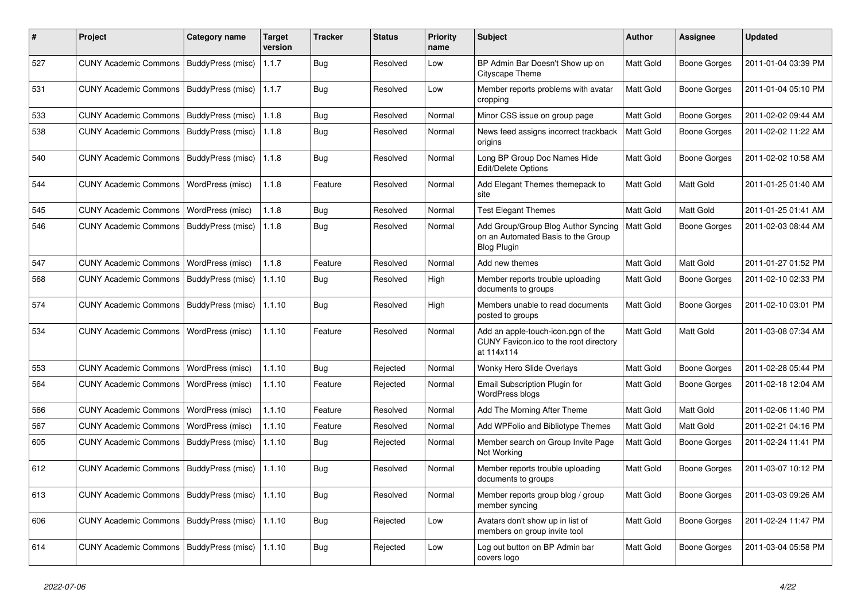| ∦   | Project                                            | <b>Category name</b>    | <b>Target</b><br>version | <b>Tracker</b> | <b>Status</b> | <b>Priority</b><br>name | Subject                                                                                         | <b>Author</b>    | Assignee            | <b>Updated</b>      |
|-----|----------------------------------------------------|-------------------------|--------------------------|----------------|---------------|-------------------------|-------------------------------------------------------------------------------------------------|------------------|---------------------|---------------------|
| 527 | <b>CUNY Academic Commons</b>                       | BuddyPress (misc)       | 1.1.7                    | Bug            | Resolved      | Low                     | BP Admin Bar Doesn't Show up on<br>Cityscape Theme                                              | Matt Gold        | Boone Gorges        | 2011-01-04 03:39 PM |
| 531 | <b>CUNY Academic Commons</b>                       | BuddyPress (misc)       | 1.1.7                    | Bug            | Resolved      | Low                     | Member reports problems with avatar<br>cropping                                                 | <b>Matt Gold</b> | Boone Gorges        | 2011-01-04 05:10 PM |
| 533 | <b>CUNY Academic Commons</b>                       | BuddyPress (misc)       | 1.1.8                    | Bug            | Resolved      | Normal                  | Minor CSS issue on group page                                                                   | Matt Gold        | Boone Gorges        | 2011-02-02 09:44 AM |
| 538 | <b>CUNY Academic Commons</b>                       | BuddyPress (misc)       | 1.1.8                    | Bug            | Resolved      | Normal                  | News feed assigns incorrect trackback<br>origins                                                | Matt Gold        | <b>Boone Gorges</b> | 2011-02-02 11:22 AM |
| 540 | <b>CUNY Academic Commons</b>                       | BuddyPress (misc)       | 1.1.8                    | Bug            | Resolved      | Normal                  | Long BP Group Doc Names Hide<br><b>Edit/Delete Options</b>                                      | Matt Gold        | Boone Gorges        | 2011-02-02 10:58 AM |
| 544 | <b>CUNY Academic Commons</b>                       | <b>WordPress (misc)</b> | 1.1.8                    | Feature        | Resolved      | Normal                  | Add Elegant Themes themepack to<br>site                                                         | Matt Gold        | Matt Gold           | 2011-01-25 01:40 AM |
| 545 | <b>CUNY Academic Commons</b>                       | WordPress (misc)        | 1.1.8                    | Bug            | Resolved      | Normal                  | <b>Test Elegant Themes</b>                                                                      | <b>Matt Gold</b> | Matt Gold           | 2011-01-25 01:41 AM |
| 546 | <b>CUNY Academic Commons</b>                       | BuddyPress (misc)       | 1.1.8                    | Bug            | Resolved      | Normal                  | Add Group/Group Blog Author Syncing<br>on an Automated Basis to the Group<br><b>Blog Plugin</b> | Matt Gold        | <b>Boone Gorges</b> | 2011-02-03 08:44 AM |
| 547 | <b>CUNY Academic Commons</b>                       | WordPress (misc)        | 1.1.8                    | Feature        | Resolved      | Normal                  | Add new themes                                                                                  | Matt Gold        | Matt Gold           | 2011-01-27 01:52 PM |
| 568 | <b>CUNY Academic Commons</b>                       | BuddyPress (misc)       | 1.1.10                   | Bug            | Resolved      | High                    | Member reports trouble uploading<br>documents to groups                                         | Matt Gold        | Boone Gorges        | 2011-02-10 02:33 PM |
| 574 | <b>CUNY Academic Commons</b>                       | BuddyPress (misc)       | 1.1.10                   | Bug            | Resolved      | High                    | Members unable to read documents<br>posted to groups                                            | Matt Gold        | Boone Gorges        | 2011-02-10 03:01 PM |
| 534 | <b>CUNY Academic Commons</b>                       | <b>WordPress (misc)</b> | 1.1.10                   | Feature        | Resolved      | Normal                  | Add an apple-touch-icon.pgn of the<br>CUNY Favicon.ico to the root directory<br>at 114x114      | Matt Gold        | Matt Gold           | 2011-03-08 07:34 AM |
| 553 | <b>CUNY Academic Commons</b>                       | WordPress (misc)        | 1.1.10                   | Bug            | Rejected      | Normal                  | Wonky Hero Slide Overlays                                                                       | Matt Gold        | <b>Boone Gorges</b> | 2011-02-28 05:44 PM |
| 564 | <b>CUNY Academic Commons</b>                       | WordPress (misc)        | 1.1.10                   | Feature        | Rejected      | Normal                  | Email Subscription Plugin for<br>WordPress blogs                                                | Matt Gold        | Boone Gorges        | 2011-02-18 12:04 AM |
| 566 | <b>CUNY Academic Commons</b>                       | WordPress (misc)        | 1.1.10                   | Feature        | Resolved      | Normal                  | Add The Morning After Theme                                                                     | Matt Gold        | Matt Gold           | 2011-02-06 11:40 PM |
| 567 | <b>CUNY Academic Commons</b>                       | <b>WordPress (misc)</b> | 1.1.10                   | Feature        | Resolved      | Normal                  | Add WPFolio and Bibliotype Themes                                                               | Matt Gold        | Matt Gold           | 2011-02-21 04:16 PM |
| 605 | <b>CUNY Academic Commons</b>                       | BuddyPress (misc)       | 1.1.10                   | Bug            | Rejected      | Normal                  | Member search on Group Invite Page<br>Not Working                                               | Matt Gold        | Boone Gorges        | 2011-02-24 11:41 PM |
| 612 | <b>CUNY Academic Commons</b>                       | BuddyPress (misc)       | 1.1.10                   | Bug            | Resolved      | Normal                  | Member reports trouble uploading<br>documents to groups                                         | <b>Matt Gold</b> | <b>Boone Gorges</b> | 2011-03-07 10:12 PM |
| 613 | CUNY Academic Commons   BuddyPress (misc)   1.1.10 |                         |                          | <b>Bug</b>     | Resolved      | Normal                  | Member reports group blog / group<br>member syncing                                             | Matt Gold        | <b>Boone Gorges</b> | 2011-03-03 09:26 AM |
| 606 | CUNY Academic Commons   BuddyPress (misc)   1.1.10 |                         |                          | <b>Bug</b>     | Rejected      | Low                     | Avatars don't show up in list of<br>members on group invite tool                                | Matt Gold        | Boone Gorges        | 2011-02-24 11:47 PM |
| 614 | CUNY Academic Commons   BuddyPress (misc)   1.1.10 |                         |                          | Bug            | Rejected      | Low                     | Log out button on BP Admin bar<br>covers logo                                                   | Matt Gold        | Boone Gorges        | 2011-03-04 05:58 PM |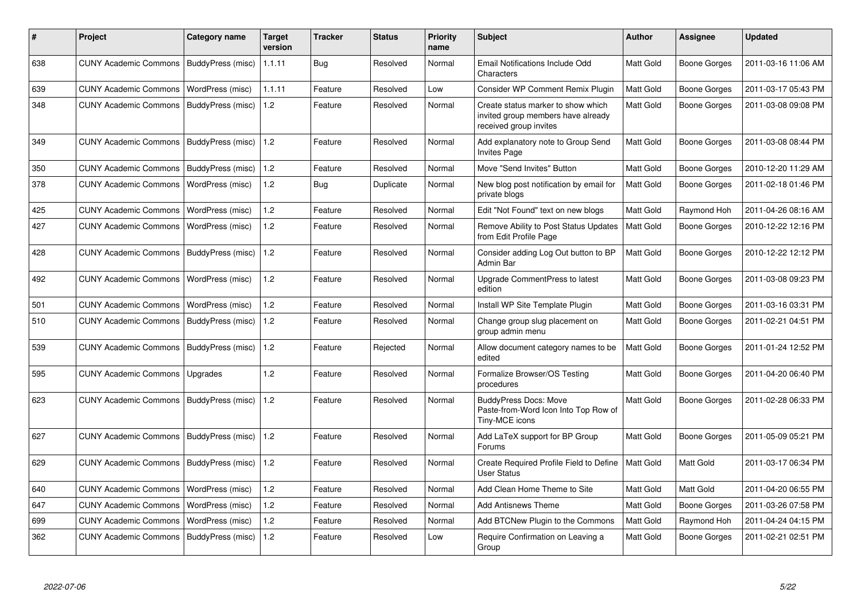| #   | <b>Project</b>                            | Category name            | <b>Target</b><br>version | Tracker | <b>Status</b> | <b>Priority</b><br>name | <b>Subject</b>                                                                                     | <b>Author</b>    | Assignee            | <b>Updated</b>      |
|-----|-------------------------------------------|--------------------------|--------------------------|---------|---------------|-------------------------|----------------------------------------------------------------------------------------------------|------------------|---------------------|---------------------|
| 638 | <b>CUNY Academic Commons</b>              | BuddyPress (misc)        | 1.1.11                   | Bug     | Resolved      | Normal                  | Email Notifications Include Odd<br>Characters                                                      | <b>Matt Gold</b> | Boone Gorges        | 2011-03-16 11:06 AM |
| 639 | <b>CUNY Academic Commons</b>              | WordPress (misc)         | 1.1.11                   | Feature | Resolved      | Low                     | Consider WP Comment Remix Plugin                                                                   | Matt Gold        | Boone Gorges        | 2011-03-17 05:43 PM |
| 348 | <b>CUNY Academic Commons</b>              | BuddyPress (misc)        | 1.2                      | Feature | Resolved      | Normal                  | Create status marker to show which<br>invited group members have already<br>received group invites | Matt Gold        | Boone Gorges        | 2011-03-08 09:08 PM |
| 349 | <b>CUNY Academic Commons</b>              | BuddyPress (misc)        | 1.2                      | Feature | Resolved      | Normal                  | Add explanatory note to Group Send<br><b>Invites Page</b>                                          | Matt Gold        | Boone Gorges        | 2011-03-08 08:44 PM |
| 350 | <b>CUNY Academic Commons</b>              | BuddyPress (misc)        | 1.2                      | Feature | Resolved      | Normal                  | Move "Send Invites" Button                                                                         | <b>Matt Gold</b> | Boone Gorges        | 2010-12-20 11:29 AM |
| 378 | <b>CUNY Academic Commons</b>              | WordPress (misc)         | 1.2                      | Bug     | Duplicate     | Normal                  | New blog post notification by email for<br>private blogs                                           | Matt Gold        | <b>Boone Gorges</b> | 2011-02-18 01:46 PM |
| 425 | <b>CUNY Academic Commons</b>              | WordPress (misc)         | 1.2                      | Feature | Resolved      | Normal                  | Edit "Not Found" text on new blogs                                                                 | Matt Gold        | Raymond Hoh         | 2011-04-26 08:16 AM |
| 427 | <b>CUNY Academic Commons</b>              | WordPress (misc)         | 1.2                      | Feature | Resolved      | Normal                  | Remove Ability to Post Status Updates<br>from Edit Profile Page                                    | <b>Matt Gold</b> | Boone Gorges        | 2010-12-22 12:16 PM |
| 428 | <b>CUNY Academic Commons</b>              | BuddyPress (misc)        | 1.2                      | Feature | Resolved      | Normal                  | Consider adding Log Out button to BP<br>Admin Bar                                                  | Matt Gold        | Boone Gorges        | 2010-12-22 12:12 PM |
| 492 | <b>CUNY Academic Commons</b>              | WordPress (misc)         | 1.2                      | Feature | Resolved      | Normal                  | Upgrade CommentPress to latest<br>edition                                                          | Matt Gold        | Boone Gorges        | 2011-03-08 09:23 PM |
| 501 | <b>CUNY Academic Commons</b>              | WordPress (misc)         | 1.2                      | Feature | Resolved      | Normal                  | Install WP Site Template Plugin                                                                    | Matt Gold        | Boone Gorges        | 2011-03-16 03:31 PM |
| 510 | <b>CUNY Academic Commons</b>              | <b>BuddyPress (misc)</b> | 1.2                      | Feature | Resolved      | Normal                  | Change group slug placement on<br>group admin menu                                                 | Matt Gold        | Boone Gorges        | 2011-02-21 04:51 PM |
| 539 | <b>CUNY Academic Commons</b>              | BuddyPress (misc)        | 1.2                      | Feature | Rejected      | Normal                  | Allow document category names to be<br>edited                                                      | Matt Gold        | Boone Gorges        | 2011-01-24 12:52 PM |
| 595 | <b>CUNY Academic Commons</b>              | Upgrades                 | 1.2                      | Feature | Resolved      | Normal                  | Formalize Browser/OS Testing<br>procedures                                                         | Matt Gold        | Boone Gorges        | 2011-04-20 06:40 PM |
| 623 | <b>CUNY Academic Commons</b>              | BuddyPress (misc)        | 1.2                      | Feature | Resolved      | Normal                  | <b>BuddyPress Docs: Move</b><br>Paste-from-Word Icon Into Top Row of<br>Tiny-MCE icons             | Matt Gold        | Boone Gorges        | 2011-02-28 06:33 PM |
| 627 | <b>CUNY Academic Commons</b>              | BuddyPress (misc)        | 1.2                      | Feature | Resolved      | Normal                  | Add LaTeX support for BP Group<br>Forums                                                           | <b>Matt Gold</b> | Boone Gorges        | 2011-05-09 05:21 PM |
| 629 | CUNY Academic Commons   BuddyPress (misc) |                          | 1.2                      | Feature | Resolved      | Normal                  | Create Required Profile Field to Define<br><b>User Status</b>                                      | <b>Matt Gold</b> | Matt Gold           | 2011-03-17 06:34 PM |
| 640 | <b>CUNY Academic Commons</b>              | WordPress (misc)         | 1.2                      | Feature | Resolved      | Normal                  | Add Clean Home Theme to Site                                                                       | Matt Gold        | Matt Gold           | 2011-04-20 06:55 PM |
| 647 | <b>CUNY Academic Commons</b>              | WordPress (misc)         | 1.2                      | Feature | Resolved      | Normal                  | <b>Add Antisnews Theme</b>                                                                         | Matt Gold        | Boone Gorges        | 2011-03-26 07:58 PM |
| 699 | <b>CUNY Academic Commons</b>              | WordPress (misc)         | 1.2                      | Feature | Resolved      | Normal                  | Add BTCNew Plugin to the Commons                                                                   | Matt Gold        | Raymond Hoh         | 2011-04-24 04:15 PM |
| 362 | <b>CUNY Academic Commons</b>              | BuddyPress (misc)        | 1.2                      | Feature | Resolved      | Low                     | Require Confirmation on Leaving a<br>Group                                                         | Matt Gold        | Boone Gorges        | 2011-02-21 02:51 PM |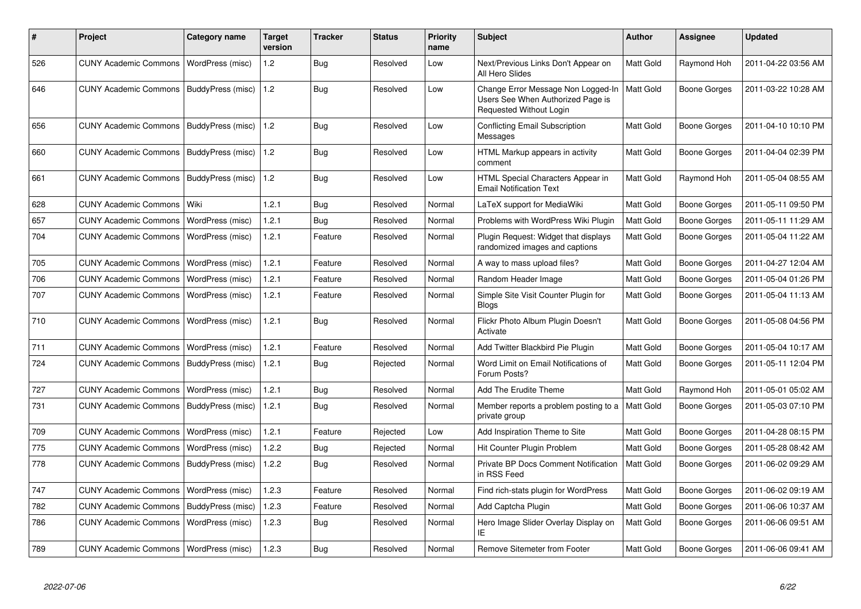| ∦   | <b>Project</b>                           | Category name           | <b>Target</b><br>version | Tracker    | <b>Status</b> | <b>Priority</b><br>name | <b>Subject</b>                                                                                     | <b>Author</b>    | Assignee            | <b>Updated</b>      |
|-----|------------------------------------------|-------------------------|--------------------------|------------|---------------|-------------------------|----------------------------------------------------------------------------------------------------|------------------|---------------------|---------------------|
| 526 | <b>CUNY Academic Commons</b>             | <b>WordPress (misc)</b> | 1.2                      | Bug        | Resolved      | Low                     | Next/Previous Links Don't Appear on<br>All Hero Slides                                             | <b>Matt Gold</b> | Raymond Hoh         | 2011-04-22 03:56 AM |
| 646 | <b>CUNY Academic Commons</b>             | BuddyPress (misc)       | 1.2                      | Bug        | Resolved      | Low                     | Change Error Message Non Logged-In<br>Users See When Authorized Page is<br>Requested Without Login | <b>Matt Gold</b> | Boone Gorges        | 2011-03-22 10:28 AM |
| 656 | <b>CUNY Academic Commons</b>             | BuddyPress (misc)       | 1.2                      | Bug        | Resolved      | Low                     | <b>Conflicting Email Subscription</b><br>Messages                                                  | <b>Matt Gold</b> | Boone Gorges        | 2011-04-10 10:10 PM |
| 660 | <b>CUNY Academic Commons</b>             | BuddyPress (misc)       | $\vert$ 1.2              | Bug        | Resolved      | Low                     | HTML Markup appears in activity<br>comment                                                         | <b>Matt Gold</b> | Boone Gorges        | 2011-04-04 02:39 PM |
| 661 | <b>CUNY Academic Commons</b>             | BuddyPress (misc)       | $\vert$ 1.2              | Bug        | Resolved      | Low                     | HTML Special Characters Appear in<br><b>Email Notification Text</b>                                | <b>Matt Gold</b> | Raymond Hoh         | 2011-05-04 08:55 AM |
| 628 | <b>CUNY Academic Commons</b>             | l Wiki                  | 1.2.1                    | <b>Bug</b> | Resolved      | Normal                  | LaTeX support for MediaWiki                                                                        | <b>Matt Gold</b> | Boone Gorges        | 2011-05-11 09:50 PM |
| 657 | <b>CUNY Academic Commons</b>             | WordPress (misc)        | 1.2.1                    | Bug        | Resolved      | Normal                  | Problems with WordPress Wiki Plugin                                                                | Matt Gold        | <b>Boone Gorges</b> | 2011-05-11 11:29 AM |
| 704 | <b>CUNY Academic Commons</b>             | WordPress (misc)        | 1.2.1                    | Feature    | Resolved      | Normal                  | Plugin Request: Widget that displays<br>randomized images and captions                             | <b>Matt Gold</b> | Boone Gorges        | 2011-05-04 11:22 AM |
| 705 | <b>CUNY Academic Commons</b>             | WordPress (misc)        | 1.2.1                    | Feature    | Resolved      | Normal                  | A way to mass upload files?                                                                        | <b>Matt Gold</b> | Boone Gorges        | 2011-04-27 12:04 AM |
| 706 | <b>CUNY Academic Commons</b>             | WordPress (misc)        | 1.2.1                    | Feature    | Resolved      | Normal                  | Random Header Image                                                                                | Matt Gold        | Boone Gorges        | 2011-05-04 01:26 PM |
| 707 | <b>CUNY Academic Commons</b>             | WordPress (misc)        | 1.2.1                    | Feature    | Resolved      | Normal                  | Simple Site Visit Counter Plugin for<br><b>Blogs</b>                                               | <b>Matt Gold</b> | Boone Gorges        | 2011-05-04 11:13 AM |
| 710 | <b>CUNY Academic Commons</b>             | WordPress (misc)        | 1.2.1                    | Bug        | Resolved      | Normal                  | Flickr Photo Album Plugin Doesn't<br>Activate                                                      | <b>Matt Gold</b> | Boone Gorges        | 2011-05-08 04:56 PM |
| 711 | <b>CUNY Academic Commons</b>             | WordPress (misc)        | 1.2.1                    | Feature    | Resolved      | Normal                  | Add Twitter Blackbird Pie Plugin                                                                   | Matt Gold        | Boone Gorges        | 2011-05-04 10:17 AM |
| 724 | <b>CUNY Academic Commons</b>             | BuddyPress (misc)       | 1.2.1                    | Bug        | Rejected      | Normal                  | Word Limit on Email Notifications of<br>Forum Posts?                                               | Matt Gold        | Boone Gorges        | 2011-05-11 12:04 PM |
| 727 | <b>CUNY Academic Commons</b>             | WordPress (misc)        | 1.2.1                    | <b>Bug</b> | Resolved      | Normal                  | Add The Erudite Theme                                                                              | Matt Gold        | Raymond Hoh         | 2011-05-01 05:02 AM |
| 731 | <b>CUNY Academic Commons</b>             | BuddyPress (misc)       | 1.2.1                    | Bug        | Resolved      | Normal                  | Member reports a problem posting to a<br>private group                                             | <b>Matt Gold</b> | Boone Gorges        | 2011-05-03 07:10 PM |
| 709 | <b>CUNY Academic Commons</b>             | WordPress (misc)        | 1.2.1                    | Feature    | Rejected      | Low                     | Add Inspiration Theme to Site                                                                      | Matt Gold        | Boone Gorges        | 2011-04-28 08:15 PM |
| 775 | <b>CUNY Academic Commons</b>             | WordPress (misc)        | 1.2.2                    | Bug        | Rejected      | Normal                  | Hit Counter Plugin Problem                                                                         | Matt Gold        | Boone Gorges        | 2011-05-28 08:42 AM |
| 778 | <b>CUNY Academic Commons</b>             | BuddyPress (misc)       | 1.2.2                    | Bug        | Resolved      | Normal                  | Private BP Docs Comment Notification<br>in RSS Feed                                                | Matt Gold        | Boone Gorges        | 2011-06-02 09:29 AM |
| 747 | <b>CUNY Academic Commons</b>             | WordPress (misc)        | 1.2.3                    | Feature    | Resolved      | Normal                  | Find rich-stats plugin for WordPress                                                               | Matt Gold        | Boone Gorges        | 2011-06-02 09:19 AM |
| 782 | <b>CUNY Academic Commons</b>             | BuddyPress (misc)       | 1.2.3                    | Feature    | Resolved      | Normal                  | Add Captcha Plugin                                                                                 | Matt Gold        | Boone Gorges        | 2011-06-06 10:37 AM |
| 786 | <b>CUNY Academic Commons</b>             | WordPress (misc)        | 1.2.3                    | Bug        | Resolved      | Normal                  | Hero Image Slider Overlay Display on<br>ΙE                                                         | Matt Gold        | Boone Gorges        | 2011-06-06 09:51 AM |
| 789 | CUNY Academic Commons   WordPress (misc) |                         | 1.2.3                    | Bug        | Resolved      | Normal                  | Remove Sitemeter from Footer                                                                       | Matt Gold        | Boone Gorges        | 2011-06-06 09:41 AM |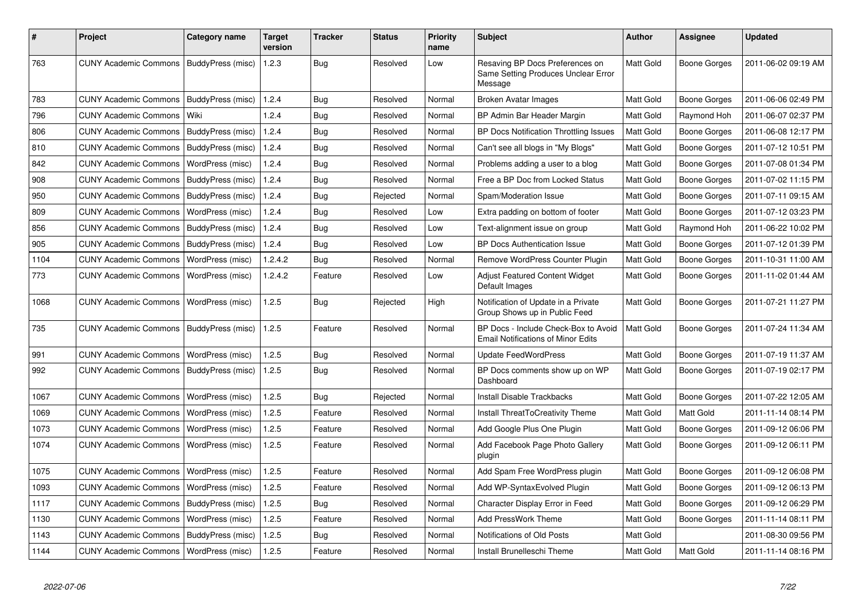| #    | <b>Project</b>                           | Category name           | <b>Target</b><br>version | Tracker    | <b>Status</b> | <b>Priority</b><br>name | <b>Subject</b>                                                                    | <b>Author</b> | Assignee            | <b>Updated</b>      |
|------|------------------------------------------|-------------------------|--------------------------|------------|---------------|-------------------------|-----------------------------------------------------------------------------------|---------------|---------------------|---------------------|
| 763  | <b>CUNY Academic Commons</b>             | BuddyPress (misc)       | 1.2.3                    | Bug        | Resolved      | Low                     | Resaving BP Docs Preferences on<br>Same Setting Produces Unclear Error<br>Message | Matt Gold     | <b>Boone Gorges</b> | 2011-06-02 09:19 AM |
| 783  | <b>CUNY Academic Commons</b>             | BuddyPress (misc)       | 1.2.4                    | <b>Bug</b> | Resolved      | Normal                  | Broken Avatar Images                                                              | Matt Gold     | Boone Gorges        | 2011-06-06 02:49 PM |
| 796  | <b>CUNY Academic Commons</b>             | Wiki                    | 1.2.4                    | <b>Bug</b> | Resolved      | Normal                  | BP Admin Bar Header Margin                                                        | Matt Gold     | Raymond Hoh         | 2011-06-07 02:37 PM |
| 806  | <b>CUNY Academic Commons</b>             | BuddyPress (misc)       | 1.2.4                    | Bug        | Resolved      | Normal                  | BP Docs Notification Throttling Issues                                            | Matt Gold     | Boone Gorges        | 2011-06-08 12:17 PM |
| 810  | <b>CUNY Academic Commons</b>             | BuddyPress (misc)       | 1.2.4                    | <b>Bug</b> | Resolved      | Normal                  | Can't see all blogs in "My Blogs"                                                 | Matt Gold     | Boone Gorges        | 2011-07-12 10:51 PM |
| 842  | <b>CUNY Academic Commons</b>             | WordPress (misc)        | 1.2.4                    | Bug        | Resolved      | Normal                  | Problems adding a user to a blog                                                  | Matt Gold     | Boone Gorges        | 2011-07-08 01:34 PM |
| 908  | <b>CUNY Academic Commons</b>             | BuddyPress (misc)       | 1.2.4                    | Bug        | Resolved      | Normal                  | Free a BP Doc from Locked Status                                                  | Matt Gold     | Boone Gorges        | 2011-07-02 11:15 PM |
| 950  | <b>CUNY Academic Commons</b>             | BuddyPress (misc)       | 1.2.4                    | <b>Bug</b> | Rejected      | Normal                  | Spam/Moderation Issue                                                             | Matt Gold     | Boone Gorges        | 2011-07-11 09:15 AM |
| 809  | <b>CUNY Academic Commons</b>             | WordPress (misc)        | 1.2.4                    | Bug        | Resolved      | Low                     | Extra padding on bottom of footer                                                 | Matt Gold     | Boone Gorges        | 2011-07-12 03:23 PM |
| 856  | <b>CUNY Academic Commons</b>             | BuddyPress (misc)       | 1.2.4                    | Bug        | Resolved      | Low                     | Text-alignment issue on group                                                     | Matt Gold     | Raymond Hoh         | 2011-06-22 10:02 PM |
| 905  | <b>CUNY Academic Commons</b>             | BuddyPress (misc)       | 1.2.4                    | <b>Bug</b> | Resolved      | Low                     | <b>BP Docs Authentication Issue</b>                                               | Matt Gold     | Boone Gorges        | 2011-07-12 01:39 PM |
| 1104 | CUNY Academic Commons   WordPress (misc) |                         | 1.2.4.2                  | Bug        | Resolved      | Normal                  | Remove WordPress Counter Plugin                                                   | Matt Gold     | Boone Gorges        | 2011-10-31 11:00 AM |
| 773  | <b>CUNY Academic Commons</b>             | WordPress (misc)        | 1.2.4.2                  | Feature    | Resolved      | Low                     | Adjust Featured Content Widget<br>Default Images                                  | Matt Gold     | Boone Gorges        | 2011-11-02 01:44 AM |
| 1068 | <b>CUNY Academic Commons</b>             | <b>WordPress (misc)</b> | 1.2.5                    | Bug        | Rejected      | High                    | Notification of Update in a Private<br>Group Shows up in Public Feed              | Matt Gold     | Boone Gorges        | 2011-07-21 11:27 PM |
| 735  | <b>CUNY Academic Commons</b>             | BuddyPress (misc)       | 1.2.5                    | Feature    | Resolved      | Normal                  | BP Docs - Include Check-Box to Avoid<br><b>Email Notifications of Minor Edits</b> | Matt Gold     | Boone Gorges        | 2011-07-24 11:34 AM |
| 991  | <b>CUNY Academic Commons</b>             | WordPress (misc)        | 1.2.5                    | <b>Bug</b> | Resolved      | Normal                  | Update FeedWordPress                                                              | Matt Gold     | Boone Gorges        | 2011-07-19 11:37 AM |
| 992  | <b>CUNY Academic Commons</b>             | BuddyPress (misc)       | 1.2.5                    | Bug        | Resolved      | Normal                  | BP Docs comments show up on WP<br>Dashboard                                       | Matt Gold     | Boone Gorges        | 2011-07-19 02:17 PM |
| 1067 | <b>CUNY Academic Commons</b>             | WordPress (misc)        | 1.2.5                    | Bug        | Rejected      | Normal                  | <b>Install Disable Trackbacks</b>                                                 | Matt Gold     | Boone Gorges        | 2011-07-22 12:05 AM |
| 1069 | <b>CUNY Academic Commons</b>             | WordPress (misc)        | 1.2.5                    | Feature    | Resolved      | Normal                  | Install ThreatToCreativity Theme                                                  | Matt Gold     | Matt Gold           | 2011-11-14 08:14 PM |
| 1073 | <b>CUNY Academic Commons</b>             | WordPress (misc)        | 1.2.5                    | Feature    | Resolved      | Normal                  | Add Google Plus One Plugin                                                        | Matt Gold     | Boone Gorges        | 2011-09-12 06:06 PM |
| 1074 | <b>CUNY Academic Commons</b>             | WordPress (misc)        | 1.2.5                    | Feature    | Resolved      | Normal                  | Add Facebook Page Photo Gallery<br>plugin                                         | Matt Gold     | Boone Gorges        | 2011-09-12 06:11 PM |
| 1075 | <b>CUNY Academic Commons</b>             | WordPress (misc)        | 1.2.5                    | Feature    | Resolved      | Normal                  | Add Spam Free WordPress plugin                                                    | Matt Gold     | Boone Gorges        | 2011-09-12 06:08 PM |
| 1093 | <b>CUNY Academic Commons</b>             | WordPress (misc)        | 1.2.5                    | Feature    | Resolved      | Normal                  | Add WP-SyntaxEvolved Plugin                                                       | Matt Gold     | Boone Gorges        | 2011-09-12 06:13 PM |
| 1117 | <b>CUNY Academic Commons</b>             | BuddyPress (misc)       | 1.2.5                    | <b>Bug</b> | Resolved      | Normal                  | Character Display Error in Feed                                                   | Matt Gold     | Boone Gorges        | 2011-09-12 06:29 PM |
| 1130 | <b>CUNY Academic Commons</b>             | WordPress (misc)        | 1.2.5                    | Feature    | Resolved      | Normal                  | Add PressWork Theme                                                               | Matt Gold     | Boone Gorges        | 2011-11-14 08:11 PM |
| 1143 | <b>CUNY Academic Commons</b>             | BuddyPress (misc)       | 1.2.5                    | Bug        | Resolved      | Normal                  | Notifications of Old Posts                                                        | Matt Gold     |                     | 2011-08-30 09:56 PM |
| 1144 | CUNY Academic Commons   WordPress (misc) |                         | 1.2.5                    | Feature    | Resolved      | Normal                  | Install Brunelleschi Theme                                                        | Matt Gold     | Matt Gold           | 2011-11-14 08:16 PM |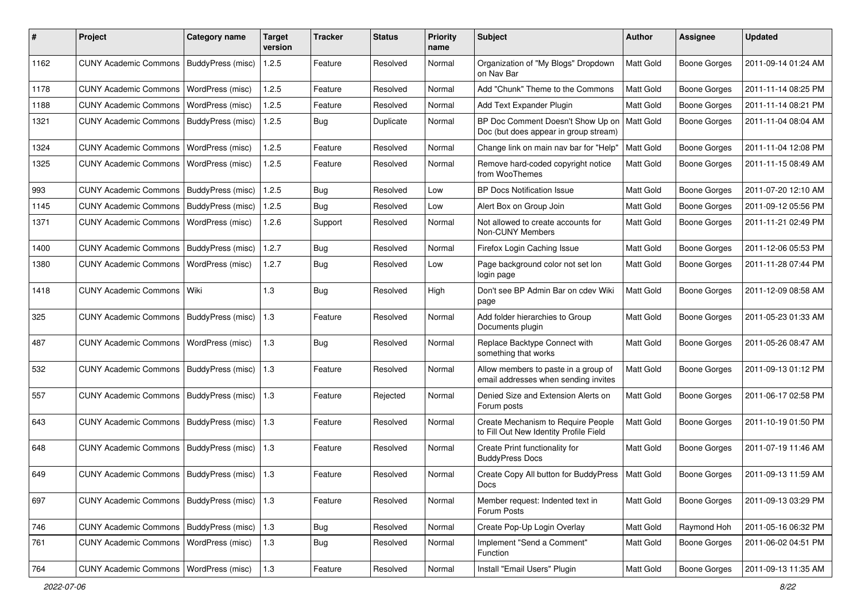| #    | Project                                   | <b>Category name</b>     | <b>Target</b><br>version | <b>Tracker</b> | <b>Status</b> | <b>Priority</b><br>name | <b>Subject</b>                                                               | Author           | Assignee            | <b>Updated</b>      |
|------|-------------------------------------------|--------------------------|--------------------------|----------------|---------------|-------------------------|------------------------------------------------------------------------------|------------------|---------------------|---------------------|
| 1162 | <b>CUNY Academic Commons</b>              | <b>BuddyPress (misc)</b> | 1.2.5                    | Feature        | Resolved      | Normal                  | Organization of "My Blogs" Dropdown<br>on Nav Bar                            | <b>Matt Gold</b> | Boone Gorges        | 2011-09-14 01:24 AM |
| 1178 | <b>CUNY Academic Commons</b>              | WordPress (misc)         | 1.2.5                    | Feature        | Resolved      | Normal                  | Add "Chunk" Theme to the Commons                                             | Matt Gold        | Boone Gorges        | 2011-11-14 08:25 PM |
| 1188 | <b>CUNY Academic Commons</b>              | WordPress (misc)         | 1.2.5                    | Feature        | Resolved      | Normal                  | Add Text Expander Plugin                                                     | Matt Gold        | <b>Boone Gorges</b> | 2011-11-14 08:21 PM |
| 1321 | <b>CUNY Academic Commons</b>              | BuddyPress (misc)        | 1.2.5                    | Bug            | Duplicate     | Normal                  | BP Doc Comment Doesn't Show Up on<br>Doc (but does appear in group stream)   | Matt Gold        | Boone Gorges        | 2011-11-04 08:04 AM |
| 1324 | <b>CUNY Academic Commons</b>              | WordPress (misc)         | 1.2.5                    | Feature        | Resolved      | Normal                  | Change link on main nav bar for "Help"                                       | Matt Gold        | <b>Boone Gorges</b> | 2011-11-04 12:08 PM |
| 1325 | <b>CUNY Academic Commons</b>              | WordPress (misc)         | 1.2.5                    | Feature        | Resolved      | Normal                  | Remove hard-coded copyright notice<br>from WooThemes                         | Matt Gold        | <b>Boone Gorges</b> | 2011-11-15 08:49 AM |
| 993  | <b>CUNY Academic Commons</b>              | BuddyPress (misc)        | 1.2.5                    | Bug            | Resolved      | Low                     | <b>BP Docs Notification Issue</b>                                            | Matt Gold        | <b>Boone Gorges</b> | 2011-07-20 12:10 AM |
| 1145 | <b>CUNY Academic Commons</b>              | BuddyPress (misc)        | 1.2.5                    | Bug            | Resolved      | Low                     | Alert Box on Group Join                                                      | Matt Gold        | <b>Boone Gorges</b> | 2011-09-12 05:56 PM |
| 1371 | <b>CUNY Academic Commons</b>              | WordPress (misc)         | 1.2.6                    | Support        | Resolved      | Normal                  | Not allowed to create accounts for<br>Non-CUNY Members                       | Matt Gold        | Boone Gorges        | 2011-11-21 02:49 PM |
| 1400 | <b>CUNY Academic Commons</b>              | BuddyPress (misc)        | 1.2.7                    | Bug            | Resolved      | Normal                  | Firefox Login Caching Issue                                                  | Matt Gold        | <b>Boone Gorges</b> | 2011-12-06 05:53 PM |
| 1380 | <b>CUNY Academic Commons</b>              | WordPress (misc)         | 1.2.7                    | Bug            | Resolved      | Low                     | Page background color not set lon<br>login page                              | Matt Gold        | <b>Boone Gorges</b> | 2011-11-28 07:44 PM |
| 1418 | <b>CUNY Academic Commons</b>              | l Wiki                   | 1.3                      | Bug            | Resolved      | High                    | Don't see BP Admin Bar on cdev Wiki<br>page                                  | Matt Gold        | Boone Gorges        | 2011-12-09 08:58 AM |
| 325  | <b>CUNY Academic Commons</b>              | BuddyPress (misc)        | 1.3                      | Feature        | Resolved      | Normal                  | Add folder hierarchies to Group<br>Documents plugin                          | Matt Gold        | Boone Gorges        | 2011-05-23 01:33 AM |
| 487  | <b>CUNY Academic Commons</b>              | WordPress (misc)         | 1.3                      | Bug            | Resolved      | Normal                  | Replace Backtype Connect with<br>something that works                        | Matt Gold        | Boone Gorges        | 2011-05-26 08:47 AM |
| 532  | <b>CUNY Academic Commons</b>              | <b>BuddyPress (misc)</b> | 1.3                      | Feature        | Resolved      | Normal                  | Allow members to paste in a group of<br>email addresses when sending invites | Matt Gold        | Boone Gorges        | 2011-09-13 01:12 PM |
| 557  | <b>CUNY Academic Commons</b>              | BuddyPress (misc)        | 1.3                      | Feature        | Rejected      | Normal                  | Denied Size and Extension Alerts on<br>Forum posts                           | <b>Matt Gold</b> | Boone Gorges        | 2011-06-17 02:58 PM |
| 643  | <b>CUNY Academic Commons</b>              | <b>BuddyPress (misc)</b> | 1.3                      | Feature        | Resolved      | Normal                  | Create Mechanism to Require People<br>to Fill Out New Identity Profile Field | Matt Gold        | <b>Boone Gorges</b> | 2011-10-19 01:50 PM |
| 648  | <b>CUNY Academic Commons</b>              | BuddyPress (misc)        | 1.3                      | Feature        | Resolved      | Normal                  | Create Print functionality for<br><b>BuddyPress Docs</b>                     | Matt Gold        | <b>Boone Gorges</b> | 2011-07-19 11:46 AM |
| 649  | CUNY Academic Commons   BuddyPress (misc) |                          | 1.3                      | Feature        | Resolved      | Normal                  | Create Copy All button for BuddyPress<br>Docs                                | Matt Gold        | Boone Gorges        | 2011-09-13 11:59 AM |
| 697  | CUNY Academic Commons   BuddyPress (misc) |                          | 1.3                      | Feature        | Resolved      | Normal                  | Member request: Indented text in<br>Forum Posts                              | Matt Gold        | <b>Boone Gorges</b> | 2011-09-13 03:29 PM |
| 746  | CUNY Academic Commons   BuddyPress (misc) |                          | 1.3                      | Bug            | Resolved      | Normal                  | Create Pop-Up Login Overlay                                                  | Matt Gold        | Raymond Hoh         | 2011-05-16 06:32 PM |
| 761  | CUNY Academic Commons   WordPress (misc)  |                          | $1.3$                    | Bug            | Resolved      | Normal                  | Implement "Send a Comment"<br>Function                                       | Matt Gold        | Boone Gorges        | 2011-06-02 04:51 PM |
| 764  | CUNY Academic Commons   WordPress (misc)  |                          | $1.3$                    | Feature        | Resolved      | Normal                  | Install "Email Users" Plugin                                                 | Matt Gold        | Boone Gorges        | 2011-09-13 11:35 AM |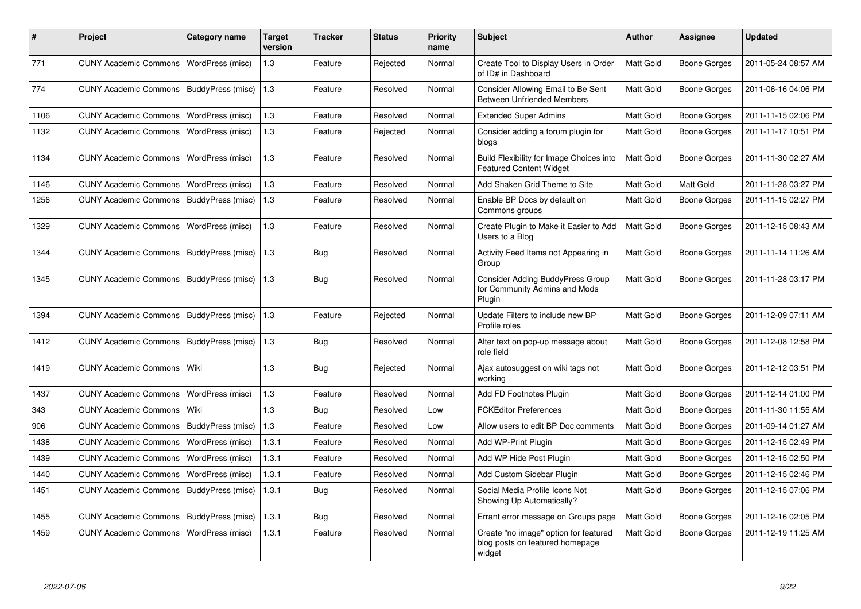| #    | <b>Project</b>                            | Category name            | <b>Target</b><br>version | Tracker | <b>Status</b> | <b>Priority</b><br>name | <b>Subject</b>                                                                     | <b>Author</b>    | Assignee            | <b>Updated</b>      |
|------|-------------------------------------------|--------------------------|--------------------------|---------|---------------|-------------------------|------------------------------------------------------------------------------------|------------------|---------------------|---------------------|
| 771  | <b>CUNY Academic Commons</b>              | WordPress (misc)         | 1.3                      | Feature | Rejected      | Normal                  | Create Tool to Display Users in Order<br>of ID# in Dashboard                       | <b>Matt Gold</b> | <b>Boone Gorges</b> | 2011-05-24 08:57 AM |
| 774  | <b>CUNY Academic Commons</b>              | BuddyPress (misc)        | 1.3                      | Feature | Resolved      | Normal                  | Consider Allowing Email to Be Sent<br><b>Between Unfriended Members</b>            | Matt Gold        | Boone Gorges        | 2011-06-16 04:06 PM |
| 1106 | <b>CUNY Academic Commons</b>              | WordPress (misc)         | 1.3                      | Feature | Resolved      | Normal                  | <b>Extended Super Admins</b>                                                       | <b>Matt Gold</b> | Boone Gorges        | 2011-11-15 02:06 PM |
| 1132 | <b>CUNY Academic Commons</b>              | WordPress (misc)         | 1.3                      | Feature | Rejected      | Normal                  | Consider adding a forum plugin for<br>blogs                                        | Matt Gold        | Boone Gorges        | 2011-11-17 10:51 PM |
| 1134 | <b>CUNY Academic Commons</b>              | WordPress (misc)         | 1.3                      | Feature | Resolved      | Normal                  | Build Flexibility for Image Choices into<br><b>Featured Content Widget</b>         | Matt Gold        | Boone Gorges        | 2011-11-30 02:27 AM |
| 1146 | <b>CUNY Academic Commons</b>              | WordPress (misc)         | 1.3                      | Feature | Resolved      | Normal                  | Add Shaken Grid Theme to Site                                                      | Matt Gold        | Matt Gold           | 2011-11-28 03:27 PM |
| 1256 | <b>CUNY Academic Commons</b>              | BuddyPress (misc)        | 1.3                      | Feature | Resolved      | Normal                  | Enable BP Docs by default on<br>Commons groups                                     | Matt Gold        | Boone Gorges        | 2011-11-15 02:27 PM |
| 1329 | <b>CUNY Academic Commons</b>              | WordPress (misc)         | 1.3                      | Feature | Resolved      | Normal                  | Create Plugin to Make it Easier to Add<br>Users to a Blog                          | <b>Matt Gold</b> | Boone Gorges        | 2011-12-15 08:43 AM |
| 1344 | CUNY Academic Commons   BuddyPress (misc) |                          | 1.3                      | Bug     | Resolved      | Normal                  | Activity Feed Items not Appearing in<br>Group                                      | Matt Gold        | Boone Gorges        | 2011-11-14 11:26 AM |
| 1345 | <b>CUNY Academic Commons</b>              | BuddyPress (misc)        | 1.3                      | Bug     | Resolved      | Normal                  | Consider Adding BuddyPress Group<br>for Community Admins and Mods<br>Plugin        | Matt Gold        | Boone Gorges        | 2011-11-28 03:17 PM |
| 1394 | <b>CUNY Academic Commons</b>              | BuddyPress (misc)        | 1.3                      | Feature | Rejected      | Normal                  | Update Filters to include new BP<br>Profile roles                                  | Matt Gold        | Boone Gorges        | 2011-12-09 07:11 AM |
| 1412 | <b>CUNY Academic Commons</b>              | <b>BuddyPress (misc)</b> | 1.3                      | Bug     | Resolved      | Normal                  | Alter text on pop-up message about<br>role field                                   | Matt Gold        | Boone Gorges        | 2011-12-08 12:58 PM |
| 1419 | <b>CUNY Academic Commons</b>              | Wiki                     | 1.3                      | Bug     | Rejected      | Normal                  | Ajax autosuggest on wiki tags not<br>working                                       | <b>Matt Gold</b> | Boone Gorges        | 2011-12-12 03:51 PM |
| 1437 | <b>CUNY Academic Commons</b>              | WordPress (misc)         | 1.3                      | Feature | Resolved      | Normal                  | Add FD Footnotes Plugin                                                            | Matt Gold        | Boone Gorges        | 2011-12-14 01:00 PM |
| 343  | <b>CUNY Academic Commons</b>              | Wiki                     | 1.3                      | Bug     | Resolved      | Low                     | <b>FCKEditor Preferences</b>                                                       | <b>Matt Gold</b> | <b>Boone Gorges</b> | 2011-11-30 11:55 AM |
| 906  | <b>CUNY Academic Commons</b>              | BuddyPress (misc)        | 1.3                      | Feature | Resolved      | Low                     | Allow users to edit BP Doc comments                                                | Matt Gold        | Boone Gorges        | 2011-09-14 01:27 AM |
| 1438 | <b>CUNY Academic Commons</b>              | WordPress (misc)         | 1.3.1                    | Feature | Resolved      | Normal                  | Add WP-Print Plugin                                                                | Matt Gold        | Boone Gorges        | 2011-12-15 02:49 PM |
| 1439 | <b>CUNY Academic Commons</b>              | WordPress (misc)         | 1.3.1                    | Feature | Resolved      | Normal                  | Add WP Hide Post Plugin                                                            | Matt Gold        | Boone Gorges        | 2011-12-15 02:50 PM |
| 1440 | <b>CUNY Academic Commons</b>              | WordPress (misc)         | 1.3.1                    | Feature | Resolved      | Normal                  | Add Custom Sidebar Plugin                                                          | <b>Matt Gold</b> | Boone Gorges        | 2011-12-15 02:46 PM |
| 1451 | <b>CUNY Academic Commons</b>              | BuddyPress (misc)        | 1.3.1                    | Bug     | Resolved      | Normal                  | Social Media Profile Icons Not<br>Showing Up Automatically?                        | Matt Gold        | Boone Gorges        | 2011-12-15 07:06 PM |
| 1455 | CUNY Academic Commons   BuddyPress (misc) |                          | 1.3.1                    | Bug     | Resolved      | Normal                  | Errant error message on Groups page                                                | Matt Gold        | Boone Gorges        | 2011-12-16 02:05 PM |
| 1459 | <b>CUNY Academic Commons</b>              | WordPress (misc)         | 1.3.1                    | Feature | Resolved      | Normal                  | Create "no image" option for featured<br>blog posts on featured homepage<br>widget | Matt Gold        | Boone Gorges        | 2011-12-19 11:25 AM |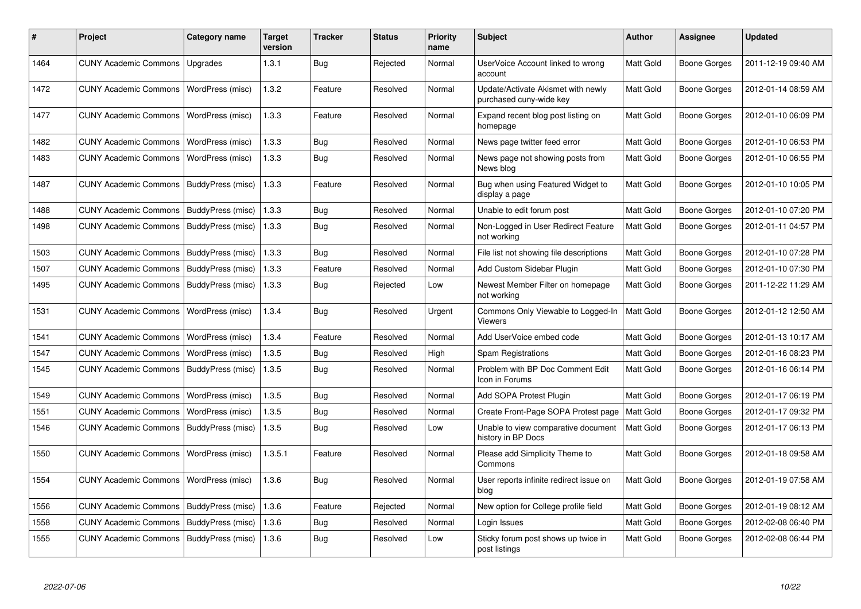| #    | Project                      | Category name     | <b>Target</b><br>version | Tracker    | <b>Status</b> | <b>Priority</b><br>name | <b>Subject</b>                                                | <b>Author</b>    | Assignee            | <b>Updated</b>      |
|------|------------------------------|-------------------|--------------------------|------------|---------------|-------------------------|---------------------------------------------------------------|------------------|---------------------|---------------------|
| 1464 | <b>CUNY Academic Commons</b> | Upgrades          | 1.3.1                    | Bug        | Rejected      | Normal                  | UserVoice Account linked to wrong<br>account                  | Matt Gold        | <b>Boone Gorges</b> | 2011-12-19 09:40 AM |
| 1472 | <b>CUNY Academic Commons</b> | WordPress (misc)  | 1.3.2                    | Feature    | Resolved      | Normal                  | Update/Activate Akismet with newly<br>purchased cuny-wide key | Matt Gold        | Boone Gorges        | 2012-01-14 08:59 AM |
| 1477 | <b>CUNY Academic Commons</b> | WordPress (misc)  | 1.3.3                    | Feature    | Resolved      | Normal                  | Expand recent blog post listing on<br>homepage                | Matt Gold        | <b>Boone Gorges</b> | 2012-01-10 06:09 PM |
| 1482 | <b>CUNY Academic Commons</b> | WordPress (misc)  | 1.3.3                    | Bug        | Resolved      | Normal                  | News page twitter feed error                                  | Matt Gold        | Boone Gorges        | 2012-01-10 06:53 PM |
| 1483 | <b>CUNY Academic Commons</b> | WordPress (misc)  | 1.3.3                    | Bug        | Resolved      | Normal                  | News page not showing posts from<br>News blog                 | Matt Gold        | Boone Gorges        | 2012-01-10 06:55 PM |
| 1487 | <b>CUNY Academic Commons</b> | BuddyPress (misc) | 1.3.3                    | Feature    | Resolved      | Normal                  | Bug when using Featured Widget to<br>display a page           | Matt Gold        | Boone Gorges        | 2012-01-10 10:05 PM |
| 1488 | <b>CUNY Academic Commons</b> | BuddyPress (misc) | 1.3.3                    | Bug        | Resolved      | Normal                  | Unable to edit forum post                                     | Matt Gold        | Boone Gorges        | 2012-01-10 07:20 PM |
| 1498 | <b>CUNY Academic Commons</b> | BuddyPress (misc) | 1.3.3                    | <b>Bug</b> | Resolved      | Normal                  | Non-Logged in User Redirect Feature<br>not working            | Matt Gold        | Boone Gorges        | 2012-01-11 04:57 PM |
| 1503 | <b>CUNY Academic Commons</b> | BuddyPress (misc) | 1.3.3                    | Bug        | Resolved      | Normal                  | File list not showing file descriptions                       | Matt Gold        | <b>Boone Gorges</b> | 2012-01-10 07:28 PM |
| 1507 | <b>CUNY Academic Commons</b> | BuddyPress (misc) | 1.3.3                    | Feature    | Resolved      | Normal                  | Add Custom Sidebar Plugin                                     | Matt Gold        | Boone Gorges        | 2012-01-10 07:30 PM |
| 1495 | <b>CUNY Academic Commons</b> | BuddyPress (misc) | 1.3.3                    | Bug        | Rejected      | Low                     | Newest Member Filter on homepage<br>not working               | Matt Gold        | Boone Gorges        | 2011-12-22 11:29 AM |
| 1531 | <b>CUNY Academic Commons</b> | WordPress (misc)  | 1.3.4                    | Bug        | Resolved      | Urgent                  | Commons Only Viewable to Logged-In<br><b>Viewers</b>          | Matt Gold        | Boone Gorges        | 2012-01-12 12:50 AM |
| 1541 | <b>CUNY Academic Commons</b> | WordPress (misc)  | 1.3.4                    | Feature    | Resolved      | Normal                  | Add UserVoice embed code                                      | Matt Gold        | Boone Gorges        | 2012-01-13 10:17 AM |
| 1547 | <b>CUNY Academic Commons</b> | WordPress (misc)  | 1.3.5                    | Bug        | Resolved      | High                    | Spam Registrations                                            | Matt Gold        | Boone Gorges        | 2012-01-16 08:23 PM |
| 1545 | <b>CUNY Academic Commons</b> | BuddyPress (misc) | 1.3.5                    | Bug        | Resolved      | Normal                  | Problem with BP Doc Comment Edit<br>Icon in Forums            | Matt Gold        | <b>Boone Gorges</b> | 2012-01-16 06:14 PM |
| 1549 | <b>CUNY Academic Commons</b> | WordPress (misc)  | 1.3.5                    | Bug        | Resolved      | Normal                  | Add SOPA Protest Plugin                                       | Matt Gold        | Boone Gorges        | 2012-01-17 06:19 PM |
| 1551 | <b>CUNY Academic Commons</b> | WordPress (misc)  | 1.3.5                    | Bug        | Resolved      | Normal                  | Create Front-Page SOPA Protest page                           | <b>Matt Gold</b> | <b>Boone Gorges</b> | 2012-01-17 09:32 PM |
| 1546 | <b>CUNY Academic Commons</b> | BuddyPress (misc) | 1.3.5                    | Bug        | Resolved      | Low                     | Unable to view comparative document<br>history in BP Docs     | Matt Gold        | Boone Gorges        | 2012-01-17 06:13 PM |
| 1550 | <b>CUNY Academic Commons</b> | WordPress (misc)  | 1.3.5.1                  | Feature    | Resolved      | Normal                  | Please add Simplicity Theme to<br>Commons                     | Matt Gold        | <b>Boone Gorges</b> | 2012-01-18 09:58 AM |
| 1554 | <b>CUNY Academic Commons</b> | WordPress (misc)  | 1.3.6                    | <b>Bug</b> | Resolved      | Normal                  | User reports infinite redirect issue on<br>blog               | Matt Gold        | Boone Gorges        | 2012-01-19 07:58 AM |
| 1556 | <b>CUNY Academic Commons</b> | BuddyPress (misc) | 1.3.6                    | Feature    | Rejected      | Normal                  | New option for College profile field                          | Matt Gold        | Boone Gorges        | 2012-01-19 08:12 AM |
| 1558 | <b>CUNY Academic Commons</b> | BuddyPress (misc) | 1.3.6                    | <b>Bug</b> | Resolved      | Normal                  | Login Issues                                                  | Matt Gold        | Boone Gorges        | 2012-02-08 06:40 PM |
| 1555 | <b>CUNY Academic Commons</b> | BuddyPress (misc) | 1.3.6                    | Bug        | Resolved      | Low                     | Sticky forum post shows up twice in<br>post listings          | Matt Gold        | Boone Gorges        | 2012-02-08 06:44 PM |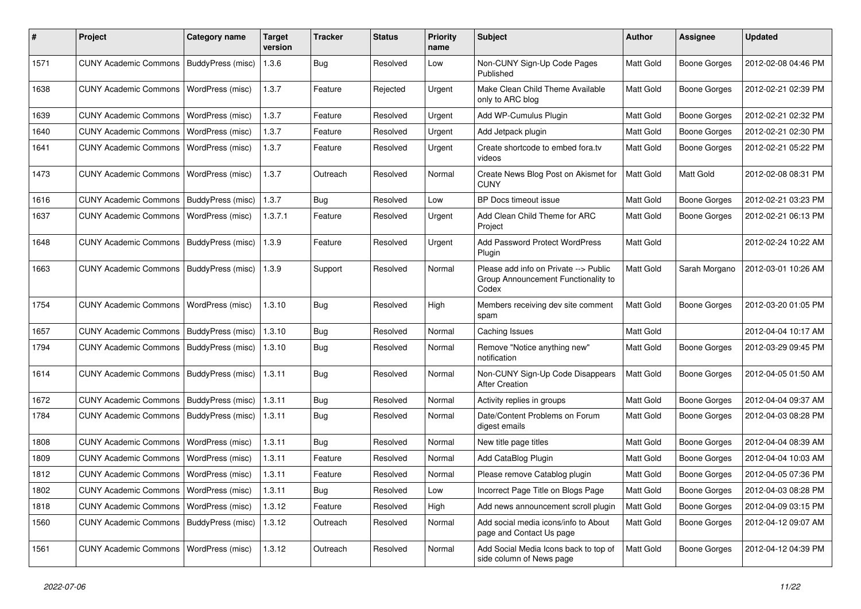| ∦    | Project                                   | <b>Category name</b>    | <b>Target</b><br>version | <b>Tracker</b> | <b>Status</b> | <b>Priority</b><br>name | <b>Subject</b>                                                                        | Author           | <b>Assignee</b>     | <b>Updated</b>      |
|------|-------------------------------------------|-------------------------|--------------------------|----------------|---------------|-------------------------|---------------------------------------------------------------------------------------|------------------|---------------------|---------------------|
| 1571 | <b>CUNY Academic Commons</b>              | BuddyPress (misc)       | 1.3.6                    | Bug            | Resolved      | Low                     | Non-CUNY Sign-Up Code Pages<br>Published                                              | Matt Gold        | <b>Boone Gorges</b> | 2012-02-08 04:46 PM |
| 1638 | <b>CUNY Academic Commons</b>              | WordPress (misc)        | 1.3.7                    | Feature        | Rejected      | Urgent                  | Make Clean Child Theme Available<br>only to ARC blog                                  | Matt Gold        | <b>Boone Gorges</b> | 2012-02-21 02:39 PM |
| 1639 | <b>CUNY Academic Commons</b>              | WordPress (misc)        | 1.3.7                    | Feature        | Resolved      | Urgent                  | Add WP-Cumulus Plugin                                                                 | Matt Gold        | <b>Boone Gorges</b> | 2012-02-21 02:32 PM |
| 1640 | <b>CUNY Academic Commons</b>              | WordPress (misc)        | 1.3.7                    | Feature        | Resolved      | Urgent                  | Add Jetpack plugin                                                                    | Matt Gold        | <b>Boone Gorges</b> | 2012-02-21 02:30 PM |
| 1641 | <b>CUNY Academic Commons</b>              | WordPress (misc)        | 1.3.7                    | Feature        | Resolved      | Urgent                  | Create shortcode to embed fora.tv<br>videos                                           | Matt Gold        | <b>Boone Gorges</b> | 2012-02-21 05:22 PM |
| 1473 | <b>CUNY Academic Commons</b>              | <b>WordPress (misc)</b> | 1.3.7                    | Outreach       | Resolved      | Normal                  | Create News Blog Post on Akismet for<br><b>CUNY</b>                                   | Matt Gold        | Matt Gold           | 2012-02-08 08:31 PM |
| 1616 | <b>CUNY Academic Commons</b>              | BuddyPress (misc)       | 1.3.7                    | Bug            | Resolved      | Low                     | BP Docs timeout issue                                                                 | Matt Gold        | <b>Boone Gorges</b> | 2012-02-21 03:23 PM |
| 1637 | <b>CUNY Academic Commons</b>              | WordPress (misc)        | 1.3.7.1                  | Feature        | Resolved      | Urgent                  | Add Clean Child Theme for ARC<br>Project                                              | Matt Gold        | <b>Boone Gorges</b> | 2012-02-21 06:13 PM |
| 1648 | CUNY Academic Commons   BuddyPress (misc) |                         | 1.3.9                    | Feature        | Resolved      | Urgent                  | Add Password Protect WordPress<br>Plugin                                              | <b>Matt Gold</b> |                     | 2012-02-24 10:22 AM |
| 1663 | <b>CUNY Academic Commons</b>              | BuddyPress (misc)       | 1.3.9                    | Support        | Resolved      | Normal                  | Please add info on Private --> Public<br>Group Announcement Functionality to<br>Codex | Matt Gold        | Sarah Morgano       | 2012-03-01 10:26 AM |
| 1754 | <b>CUNY Academic Commons</b>              | WordPress (misc)        | 1.3.10                   | Bug            | Resolved      | High                    | Members receiving dev site comment<br>spam                                            | Matt Gold        | <b>Boone Gorges</b> | 2012-03-20 01:05 PM |
| 1657 | <b>CUNY Academic Commons</b>              | BuddyPress (misc)       | 1.3.10                   | Bug            | Resolved      | Normal                  | Caching Issues                                                                        | Matt Gold        |                     | 2012-04-04 10:17 AM |
| 1794 | <b>CUNY Academic Commons</b>              | BuddyPress (misc)       | 1.3.10                   | Bug            | Resolved      | Normal                  | Remove "Notice anything new"<br>notification                                          | Matt Gold        | <b>Boone Gorges</b> | 2012-03-29 09:45 PM |
| 1614 | <b>CUNY Academic Commons</b>              | BuddyPress (misc)       | 1.3.11                   | Bug            | Resolved      | Normal                  | Non-CUNY Sign-Up Code Disappears<br><b>After Creation</b>                             | Matt Gold        | <b>Boone Gorges</b> | 2012-04-05 01:50 AM |
| 1672 | <b>CUNY Academic Commons</b>              | BuddyPress (misc)       | 1.3.11                   | Bug            | Resolved      | Normal                  | Activity replies in groups                                                            | Matt Gold        | <b>Boone Gorges</b> | 2012-04-04 09:37 AM |
| 1784 | <b>CUNY Academic Commons</b>              | BuddyPress (misc)       | 1.3.11                   | Bug            | Resolved      | Normal                  | Date/Content Problems on Forum<br>digest emails                                       | Matt Gold        | <b>Boone Gorges</b> | 2012-04-03 08:28 PM |
| 1808 | <b>CUNY Academic Commons</b>              | <b>WordPress (misc)</b> | 1.3.11                   | Bug            | Resolved      | Normal                  | New title page titles                                                                 | Matt Gold        | <b>Boone Gorges</b> | 2012-04-04 08:39 AM |
| 1809 | <b>CUNY Academic Commons</b>              | WordPress (misc)        | 1.3.11                   | Feature        | Resolved      | Normal                  | Add CataBlog Plugin                                                                   | Matt Gold        | <b>Boone Gorges</b> | 2012-04-04 10:03 AM |
| 1812 | <b>CUNY Academic Commons</b>              | <b>WordPress (misc)</b> | 1.3.11                   | Feature        | Resolved      | Normal                  | Please remove Catablog plugin                                                         | <b>Matt Gold</b> | <b>Boone Gorges</b> | 2012-04-05 07:36 PM |
| 1802 | CUNY Academic Commons   WordPress (misc)  |                         | 1.3.11                   | Bug            | Resolved      | Low                     | Incorrect Page Title on Blogs Page                                                    | <b>Matt Gold</b> | <b>Boone Gorges</b> | 2012-04-03 08:28 PM |
| 1818 | CUNY Academic Commons   WordPress (misc)  |                         | 1.3.12                   | Feature        | Resolved      | High                    | Add news announcement scroll plugin                                                   | Matt Gold        | Boone Gorges        | 2012-04-09 03:15 PM |
| 1560 | CUNY Academic Commons   BuddyPress (misc) |                         | 1.3.12                   | Outreach       | Resolved      | Normal                  | Add social media icons/info to About<br>page and Contact Us page                      | Matt Gold        | <b>Boone Gorges</b> | 2012-04-12 09:07 AM |
| 1561 | CUNY Academic Commons   WordPress (misc)  |                         | 1.3.12                   | Outreach       | Resolved      | Normal                  | Add Social Media Icons back to top of<br>side column of News page                     | Matt Gold        | <b>Boone Gorges</b> | 2012-04-12 04:39 PM |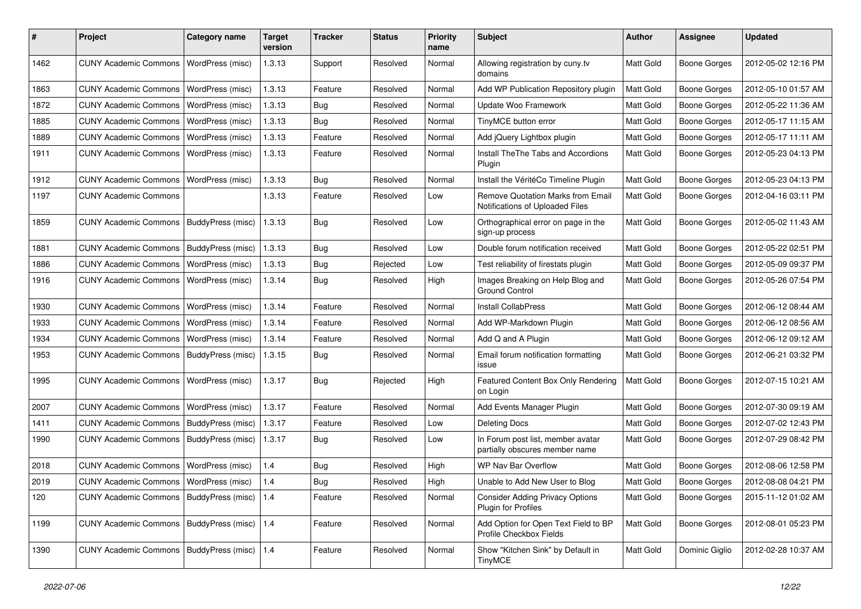| #    | Project                                         | <b>Category name</b>    | <b>Target</b><br>version | <b>Tracker</b> | <b>Status</b> | <b>Priority</b><br>name | <b>Subject</b>                                                       | <b>Author</b>    | <b>Assignee</b>     | <b>Updated</b>      |
|------|-------------------------------------------------|-------------------------|--------------------------|----------------|---------------|-------------------------|----------------------------------------------------------------------|------------------|---------------------|---------------------|
| 1462 | <b>CUNY Academic Commons</b>                    | WordPress (misc)        | 1.3.13                   | Support        | Resolved      | Normal                  | Allowing registration by cuny.tv<br>domains                          | <b>Matt Gold</b> | Boone Gorges        | 2012-05-02 12:16 PM |
| 1863 | <b>CUNY Academic Commons</b>                    | WordPress (misc)        | 1.3.13                   | Feature        | Resolved      | Normal                  | Add WP Publication Repository plugin                                 | Matt Gold        | <b>Boone Gorges</b> | 2012-05-10 01:57 AM |
| 1872 | <b>CUNY Academic Commons</b>                    | WordPress (misc)        | 1.3.13                   | Bug            | Resolved      | Normal                  | Update Woo Framework                                                 | Matt Gold        | <b>Boone Gorges</b> | 2012-05-22 11:36 AM |
| 1885 | <b>CUNY Academic Commons</b>                    | WordPress (misc)        | 1.3.13                   | Bug            | Resolved      | Normal                  | TinyMCE button error                                                 | Matt Gold        | Boone Gorges        | 2012-05-17 11:15 AM |
| 1889 | <b>CUNY Academic Commons</b>                    | WordPress (misc)        | 1.3.13                   | Feature        | Resolved      | Normal                  | Add jQuery Lightbox plugin                                           | Matt Gold        | <b>Boone Gorges</b> | 2012-05-17 11:11 AM |
| 1911 | <b>CUNY Academic Commons</b>                    | WordPress (misc)        | 1.3.13                   | Feature        | Resolved      | Normal                  | Install The The Tabs and Accordions<br>Plugin                        | Matt Gold        | <b>Boone Gorges</b> | 2012-05-23 04:13 PM |
| 1912 | <b>CUNY Academic Commons</b>                    | WordPress (misc)        | 1.3.13                   | Bug            | Resolved      | Normal                  | Install the VéritéCo Timeline Plugin                                 | Matt Gold        | <b>Boone Gorges</b> | 2012-05-23 04:13 PM |
| 1197 | <b>CUNY Academic Commons</b>                    |                         | 1.3.13                   | Feature        | Resolved      | Low                     | Remove Quotation Marks from Email<br>Notifications of Uploaded Files | Matt Gold        | Boone Gorges        | 2012-04-16 03:11 PM |
| 1859 | <b>CUNY Academic Commons</b>                    | BuddyPress (misc)       | 1.3.13                   | <b>Bug</b>     | Resolved      | Low                     | Orthographical error on page in the<br>sign-up process               | Matt Gold        | Boone Gorges        | 2012-05-02 11:43 AM |
| 1881 | <b>CUNY Academic Commons</b>                    | BuddyPress (misc)       | 1.3.13                   | Bug            | Resolved      | Low                     | Double forum notification received                                   | Matt Gold        | <b>Boone Gorges</b> | 2012-05-22 02:51 PM |
| 1886 | <b>CUNY Academic Commons</b>                    | WordPress (misc)        | 1.3.13                   | Bug            | Rejected      | Low                     | Test reliability of firestats plugin                                 | Matt Gold        | <b>Boone Gorges</b> | 2012-05-09 09:37 PM |
| 1916 | <b>CUNY Academic Commons</b>                    | WordPress (misc)        | 1.3.14                   | Bug            | Resolved      | High                    | Images Breaking on Help Blog and<br><b>Ground Control</b>            | Matt Gold        | Boone Gorges        | 2012-05-26 07:54 PM |
| 1930 | <b>CUNY Academic Commons</b>                    | WordPress (misc)        | 1.3.14                   | Feature        | Resolved      | Normal                  | Install CollabPress                                                  | Matt Gold        | <b>Boone Gorges</b> | 2012-06-12 08:44 AM |
| 1933 | <b>CUNY Academic Commons</b>                    | WordPress (misc)        | 1.3.14                   | Feature        | Resolved      | Normal                  | Add WP-Markdown Plugin                                               | Matt Gold        | <b>Boone Gorges</b> | 2012-06-12 08:56 AM |
| 1934 | <b>CUNY Academic Commons</b>                    | WordPress (misc)        | 1.3.14                   | Feature        | Resolved      | Normal                  | Add Q and A Plugin                                                   | Matt Gold        | <b>Boone Gorges</b> | 2012-06-12 09:12 AM |
| 1953 | <b>CUNY Academic Commons</b>                    | BuddyPress (misc)       | 1.3.15                   | Bug            | Resolved      | Normal                  | Email forum notification formatting<br>issue                         | Matt Gold        | Boone Gorges        | 2012-06-21 03:32 PM |
| 1995 | <b>CUNY Academic Commons</b>                    | WordPress (misc)        | 1.3.17                   | Bug            | Rejected      | High                    | Featured Content Box Only Rendering<br>on Login                      | Matt Gold        | Boone Gorges        | 2012-07-15 10:21 AM |
| 2007 | <b>CUNY Academic Commons</b>                    | WordPress (misc)        | 1.3.17                   | Feature        | Resolved      | Normal                  | Add Events Manager Plugin                                            | Matt Gold        | <b>Boone Gorges</b> | 2012-07-30 09:19 AM |
| 1411 | <b>CUNY Academic Commons</b>                    | BuddyPress (misc)       | 1.3.17                   | Feature        | Resolved      | Low                     | <b>Deleting Docs</b>                                                 | Matt Gold        | <b>Boone Gorges</b> | 2012-07-02 12:43 PM |
| 1990 | <b>CUNY Academic Commons</b>                    | BuddyPress (misc)       | 1.3.17                   | <b>Bug</b>     | Resolved      | Low                     | In Forum post list, member avatar<br>partially obscures member name  | Matt Gold        | Boone Gorges        | 2012-07-29 08:42 PM |
| 2018 | <b>CUNY Academic Commons</b>                    | WordPress (misc)        | 1.4                      | Bug            | Resolved      | High                    | WP Nav Bar Overflow                                                  | Matt Gold        | <b>Boone Gorges</b> | 2012-08-06 12:58 PM |
| 2019 | CUNY Academic Commons   WordPress (misc)        |                         | 1.4                      | <b>Bug</b>     | Resolved      | High                    | Unable to Add New User to Blog                                       | <b>Matt Gold</b> | <b>Boone Gorges</b> | 2012-08-08 04:21 PM |
| 120  | CUNY Academic Commons   BuddyPress (misc)       |                         | 1.4                      | Feature        | Resolved      | Normal                  | <b>Consider Adding Privacy Options</b><br>Plugin for Profiles        | Matt Gold        | Boone Gorges        | 2015-11-12 01:02 AM |
| 1199 | CUNY Academic Commons   BuddyPress (misc)   1.4 |                         |                          | Feature        | Resolved      | Normal                  | Add Option for Open Text Field to BP<br>Profile Checkbox Fields      | Matt Gold        | Boone Gorges        | 2012-08-01 05:23 PM |
| 1390 | <b>CUNY Academic Commons</b>                    | BuddyPress (misc)   1.4 |                          | Feature        | Resolved      | Normal                  | Show "Kitchen Sink" by Default in<br>TinyMCE                         | Matt Gold        | Dominic Giglio      | 2012-02-28 10:37 AM |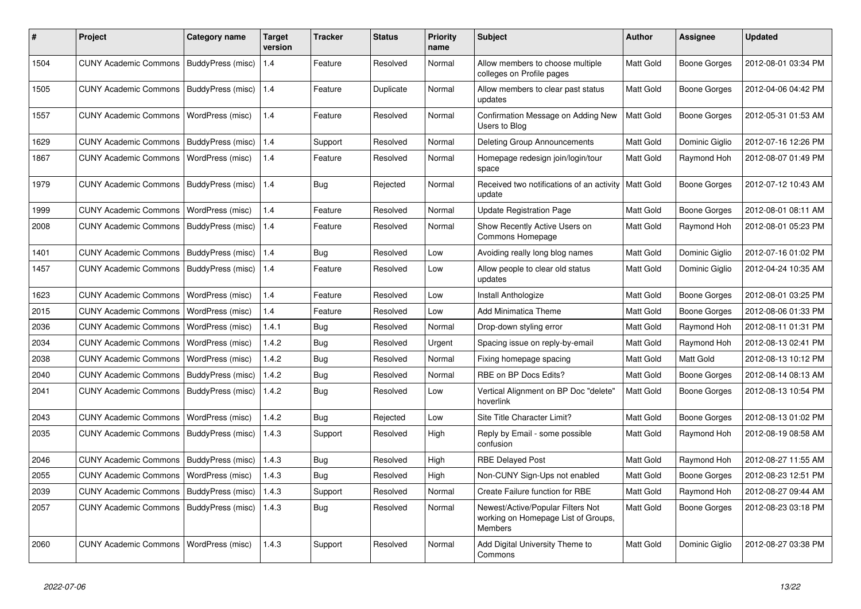| #    | <b>Project</b>               | Category name     | <b>Target</b><br>version | Tracker    | <b>Status</b> | <b>Priority</b><br>name | <b>Subject</b>                                                                             | <b>Author</b>    | Assignee            | <b>Updated</b>      |
|------|------------------------------|-------------------|--------------------------|------------|---------------|-------------------------|--------------------------------------------------------------------------------------------|------------------|---------------------|---------------------|
| 1504 | <b>CUNY Academic Commons</b> | BuddyPress (misc) | 1.4                      | Feature    | Resolved      | Normal                  | Allow members to choose multiple<br>colleges on Profile pages                              | Matt Gold        | Boone Gorges        | 2012-08-01 03:34 PM |
| 1505 | <b>CUNY Academic Commons</b> | BuddyPress (misc) | 1.4                      | Feature    | Duplicate     | Normal                  | Allow members to clear past status<br>updates                                              | Matt Gold        | <b>Boone Gorges</b> | 2012-04-06 04:42 PM |
| 1557 | <b>CUNY Academic Commons</b> | WordPress (misc)  | 1.4                      | Feature    | Resolved      | Normal                  | Confirmation Message on Adding New<br>Users to Blog                                        | Matt Gold        | <b>Boone Gorges</b> | 2012-05-31 01:53 AM |
| 1629 | <b>CUNY Academic Commons</b> | BuddyPress (misc) | 1.4                      | Support    | Resolved      | Normal                  | <b>Deleting Group Announcements</b>                                                        | Matt Gold        | Dominic Giglio      | 2012-07-16 12:26 PM |
| 1867 | <b>CUNY Academic Commons</b> | WordPress (misc)  | 1.4                      | Feature    | Resolved      | Normal                  | Homepage redesign join/login/tour<br>space                                                 | Matt Gold        | Raymond Hoh         | 2012-08-07 01:49 PM |
| 1979 | <b>CUNY Academic Commons</b> | BuddyPress (misc) | 1.4                      | Bug        | Rejected      | Normal                  | Received two notifications of an activity<br>update                                        | <b>Matt Gold</b> | Boone Gorges        | 2012-07-12 10:43 AM |
| 1999 | <b>CUNY Academic Commons</b> | WordPress (misc)  | 1.4                      | Feature    | Resolved      | Normal                  | <b>Update Registration Page</b>                                                            | Matt Gold        | <b>Boone Gorges</b> | 2012-08-01 08:11 AM |
| 2008 | <b>CUNY Academic Commons</b> | BuddyPress (misc) | 1.4                      | Feature    | Resolved      | Normal                  | Show Recently Active Users on<br>Commons Homepage                                          | Matt Gold        | Raymond Hoh         | 2012-08-01 05:23 PM |
| 1401 | <b>CUNY Academic Commons</b> | BuddyPress (misc) | 1.4                      | Bug        | Resolved      | Low                     | Avoiding really long blog names                                                            | Matt Gold        | Dominic Giglio      | 2012-07-16 01:02 PM |
| 1457 | <b>CUNY Academic Commons</b> | BuddyPress (misc) | 1.4                      | Feature    | Resolved      | Low                     | Allow people to clear old status<br>updates                                                | Matt Gold        | Dominic Giglio      | 2012-04-24 10:35 AM |
| 1623 | <b>CUNY Academic Commons</b> | WordPress (misc)  | 1.4                      | Feature    | Resolved      | Low                     | Install Anthologize                                                                        | Matt Gold        | <b>Boone Gorges</b> | 2012-08-01 03:25 PM |
| 2015 | <b>CUNY Academic Commons</b> | WordPress (misc)  | 1.4                      | Feature    | Resolved      | Low                     | Add Minimatica Theme                                                                       | Matt Gold        | <b>Boone Gorges</b> | 2012-08-06 01:33 PM |
| 2036 | <b>CUNY Academic Commons</b> | WordPress (misc)  | 1.4.1                    | Bug        | Resolved      | Normal                  | Drop-down styling error                                                                    | Matt Gold        | Raymond Hoh         | 2012-08-11 01:31 PM |
| 2034 | <b>CUNY Academic Commons</b> | WordPress (misc)  | 1.4.2                    | Bug        | Resolved      | Urgent                  | Spacing issue on reply-by-email                                                            | Matt Gold        | Raymond Hoh         | 2012-08-13 02:41 PM |
| 2038 | <b>CUNY Academic Commons</b> | WordPress (misc)  | 1.4.2                    | <b>Bug</b> | Resolved      | Normal                  | Fixing homepage spacing                                                                    | Matt Gold        | Matt Gold           | 2012-08-13 10:12 PM |
| 2040 | <b>CUNY Academic Commons</b> | BuddyPress (misc) | 1.4.2                    | Bug        | Resolved      | Normal                  | RBE on BP Docs Edits?                                                                      | Matt Gold        | <b>Boone Gorges</b> | 2012-08-14 08:13 AM |
| 2041 | <b>CUNY Academic Commons</b> | BuddyPress (misc) | 1.4.2                    | Bug        | Resolved      | Low                     | Vertical Alignment on BP Doc "delete"<br>hoverlink                                         | Matt Gold        | <b>Boone Gorges</b> | 2012-08-13 10:54 PM |
| 2043 | <b>CUNY Academic Commons</b> | WordPress (misc)  | 1.4.2                    | <b>Bug</b> | Rejected      | Low                     | Site Title Character Limit?                                                                | Matt Gold        | Boone Gorges        | 2012-08-13 01:02 PM |
| 2035 | <b>CUNY Academic Commons</b> | BuddyPress (misc) | 1.4.3                    | Support    | Resolved      | High                    | Reply by Email - some possible<br>confusion                                                | Matt Gold        | Raymond Hoh         | 2012-08-19 08:58 AM |
| 2046 | <b>CUNY Academic Commons</b> | BuddyPress (misc) | 1.4.3                    | Bug        | Resolved      | High                    | <b>RBE Delayed Post</b>                                                                    | Matt Gold        | Raymond Hoh         | 2012-08-27 11:55 AM |
| 2055 | <b>CUNY Academic Commons</b> | WordPress (misc)  | 1.4.3                    | Bug        | Resolved      | High                    | Non-CUNY Sign-Ups not enabled                                                              | Matt Gold        | Boone Gorges        | 2012-08-23 12:51 PM |
| 2039 | <b>CUNY Academic Commons</b> | BuddyPress (misc) | 1.4.3                    | Support    | Resolved      | Normal                  | Create Failure function for RBE                                                            | Matt Gold        | Raymond Hoh         | 2012-08-27 09:44 AM |
| 2057 | <b>CUNY Academic Commons</b> | BuddyPress (misc) | 1.4.3                    | Bug        | Resolved      | Normal                  | Newest/Active/Popular Filters Not<br>working on Homepage List of Groups,<br><b>Members</b> | Matt Gold        | Boone Gorges        | 2012-08-23 03:18 PM |
| 2060 | <b>CUNY Academic Commons</b> | WordPress (misc)  | 1.4.3                    | Support    | Resolved      | Normal                  | Add Digital University Theme to<br>Commons                                                 | Matt Gold        | Dominic Giglio      | 2012-08-27 03:38 PM |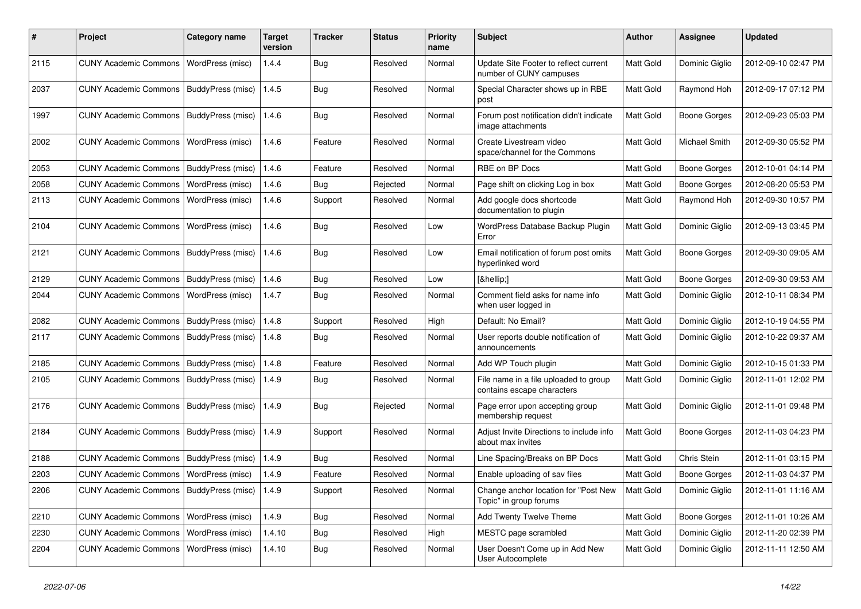| #    | Project                                           | <b>Category name</b>     | <b>Target</b><br>version | <b>Tracker</b> | <b>Status</b> | <b>Priority</b><br>name | <b>Subject</b>                                                      | <b>Author</b> | <b>Assignee</b>     | <b>Updated</b>      |
|------|---------------------------------------------------|--------------------------|--------------------------|----------------|---------------|-------------------------|---------------------------------------------------------------------|---------------|---------------------|---------------------|
| 2115 | <b>CUNY Academic Commons</b>                      | WordPress (misc)         | 1.4.4                    | <b>Bug</b>     | Resolved      | Normal                  | Update Site Footer to reflect current<br>number of CUNY campuses    | Matt Gold     | Dominic Giglio      | 2012-09-10 02:47 PM |
| 2037 | <b>CUNY Academic Commons</b>                      | BuddyPress (misc)        | 1.4.5                    | Bug            | Resolved      | Normal                  | Special Character shows up in RBE<br>post                           | Matt Gold     | Raymond Hoh         | 2012-09-17 07:12 PM |
| 1997 | <b>CUNY Academic Commons</b>                      | <b>BuddyPress (misc)</b> | 1.4.6                    | Bug            | Resolved      | Normal                  | Forum post notification didn't indicate<br>image attachments        | Matt Gold     | <b>Boone Gorges</b> | 2012-09-23 05:03 PM |
| 2002 | <b>CUNY Academic Commons</b>                      | WordPress (misc)         | 1.4.6                    | Feature        | Resolved      | Normal                  | Create Livestream video<br>space/channel for the Commons            | Matt Gold     | Michael Smith       | 2012-09-30 05:52 PM |
| 2053 | <b>CUNY Academic Commons</b>                      | BuddyPress (misc)        | 1.4.6                    | Feature        | Resolved      | Normal                  | RBE on BP Docs                                                      | Matt Gold     | <b>Boone Gorges</b> | 2012-10-01 04:14 PM |
| 2058 | <b>CUNY Academic Commons</b>                      | WordPress (misc)         | 1.4.6                    | Bug            | Rejected      | Normal                  | Page shift on clicking Log in box                                   | Matt Gold     | <b>Boone Gorges</b> | 2012-08-20 05:53 PM |
| 2113 | <b>CUNY Academic Commons</b>                      | WordPress (misc)         | 1.4.6                    | Support        | Resolved      | Normal                  | Add google docs shortcode<br>documentation to plugin                | Matt Gold     | Raymond Hoh         | 2012-09-30 10:57 PM |
| 2104 | <b>CUNY Academic Commons</b>                      | WordPress (misc)         | 1.4.6                    | Bug            | Resolved      | Low                     | WordPress Database Backup Plugin<br>Error                           | Matt Gold     | Dominic Giglio      | 2012-09-13 03:45 PM |
| 2121 | <b>CUNY Academic Commons</b>                      | BuddyPress (misc)        | 1.4.6                    | Bug            | Resolved      | Low                     | Email notification of forum post omits<br>hyperlinked word          | Matt Gold     | <b>Boone Gorges</b> | 2012-09-30 09:05 AM |
| 2129 | <b>CUNY Academic Commons</b>                      | BuddyPress (misc)        | 1.4.6                    | Bug            | Resolved      | Low                     | […:]                                                                | Matt Gold     | <b>Boone Gorges</b> | 2012-09-30 09:53 AM |
| 2044 | <b>CUNY Academic Commons</b>                      | WordPress (misc)         | 1.4.7                    | Bug            | Resolved      | Normal                  | Comment field asks for name info<br>when user logged in             | Matt Gold     | Dominic Giglio      | 2012-10-11 08:34 PM |
| 2082 | <b>CUNY Academic Commons</b>                      | BuddyPress (misc)        | 1.4.8                    | Support        | Resolved      | High                    | Default: No Email?                                                  | Matt Gold     | Dominic Giglio      | 2012-10-19 04:55 PM |
| 2117 | <b>CUNY Academic Commons</b>                      | BuddyPress (misc)        | 1.4.8                    | Bug            | Resolved      | Normal                  | User reports double notification of<br>announcements                | Matt Gold     | Dominic Giglio      | 2012-10-22 09:37 AM |
| 2185 | <b>CUNY Academic Commons</b>                      | BuddyPress (misc)        | 1.4.8                    | Feature        | Resolved      | Normal                  | Add WP Touch plugin                                                 | Matt Gold     | Dominic Giglio      | 2012-10-15 01:33 PM |
| 2105 | <b>CUNY Academic Commons</b>                      | BuddyPress (misc)        | 1.4.9                    | Bug            | Resolved      | Normal                  | File name in a file uploaded to group<br>contains escape characters | Matt Gold     | Dominic Giglio      | 2012-11-01 12:02 PM |
| 2176 | <b>CUNY Academic Commons</b>                      | BuddyPress (misc)        | 1.4.9                    | Bug            | Rejected      | Normal                  | Page error upon accepting group<br>membership request               | Matt Gold     | Dominic Giglio      | 2012-11-01 09:48 PM |
| 2184 | <b>CUNY Academic Commons</b>                      | BuddyPress (misc)        | 1.4.9                    | Support        | Resolved      | Normal                  | Adjust Invite Directions to include info<br>about max invites       | Matt Gold     | <b>Boone Gorges</b> | 2012-11-03 04:23 PM |
| 2188 | <b>CUNY Academic Commons</b>                      | BuddyPress (misc)        | 1.4.9                    | Bug            | Resolved      | Normal                  | Line Spacing/Breaks on BP Docs                                      | Matt Gold     | Chris Stein         | 2012-11-01 03:15 PM |
| 2203 | <b>CUNY Academic Commons</b>                      | WordPress (misc)         | 1.4.9                    | Feature        | Resolved      | Normal                  | Enable uploading of sav files                                       | Matt Gold     | <b>Boone Gorges</b> | 2012-11-03 04:37 PM |
| 2206 | CUNY Academic Commons   BuddyPress (misc)   1.4.9 |                          |                          | Support        | Resolved      | Normal                  | Change anchor location for "Post New<br>Topic" in group forums      | Matt Gold     | Dominic Giglio      | 2012-11-01 11:16 AM |
| 2210 | CUNY Academic Commons   WordPress (misc)          |                          | 1.4.9                    | Bug            | Resolved      | Normal                  | Add Twenty Twelve Theme                                             | Matt Gold     | <b>Boone Gorges</b> | 2012-11-01 10:26 AM |
| 2230 | <b>CUNY Academic Commons</b>                      | WordPress (misc)         | 1.4.10                   | Bug            | Resolved      | High                    | MESTC page scrambled                                                | Matt Gold     | Dominic Giglio      | 2012-11-20 02:39 PM |
| 2204 | CUNY Academic Commons   WordPress (misc)          |                          | 1.4.10                   | Bug            | Resolved      | Normal                  | User Doesn't Come up in Add New<br>User Autocomplete                | Matt Gold     | Dominic Giglio      | 2012-11-11 12:50 AM |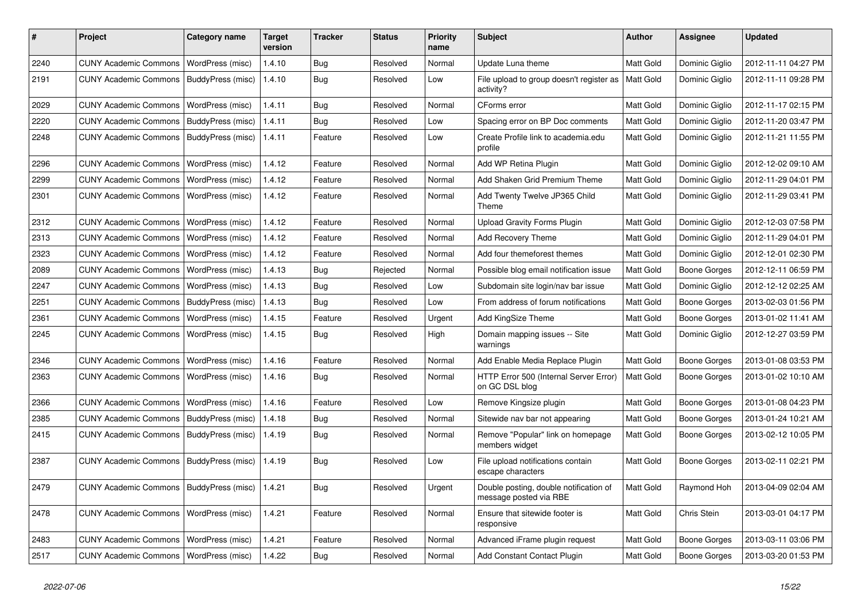| #    | Project                                            | <b>Category name</b>     | <b>Target</b><br>version | <b>Tracker</b> | <b>Status</b> | <b>Priority</b><br>name | <b>Subject</b>                                                   | <b>Author</b>    | Assignee            | <b>Updated</b>      |
|------|----------------------------------------------------|--------------------------|--------------------------|----------------|---------------|-------------------------|------------------------------------------------------------------|------------------|---------------------|---------------------|
| 2240 | <b>CUNY Academic Commons</b>                       | WordPress (misc)         | 1.4.10                   | Bug            | Resolved      | Normal                  | Update Luna theme                                                | Matt Gold        | Dominic Giglio      | 2012-11-11 04:27 PM |
| 2191 | <b>CUNY Academic Commons</b>                       | BuddyPress (misc)        | 1.4.10                   | Bug            | Resolved      | Low                     | File upload to group doesn't register as<br>activity?            | Matt Gold        | Dominic Giglio      | 2012-11-11 09:28 PM |
| 2029 | <b>CUNY Academic Commons</b>                       | WordPress (misc)         | 1.4.11                   | Bug            | Resolved      | Normal                  | CForms error                                                     | Matt Gold        | Dominic Giglio      | 2012-11-17 02:15 PM |
| 2220 | <b>CUNY Academic Commons</b>                       | <b>BuddyPress (misc)</b> | 1.4.11                   | Bug            | Resolved      | Low                     | Spacing error on BP Doc comments                                 | Matt Gold        | Dominic Giglio      | 2012-11-20 03:47 PM |
| 2248 | <b>CUNY Academic Commons</b>                       | BuddyPress (misc)        | 1.4.11                   | Feature        | Resolved      | Low                     | Create Profile link to academia.edu<br>profile                   | <b>Matt Gold</b> | Dominic Giglio      | 2012-11-21 11:55 PM |
| 2296 | <b>CUNY Academic Commons</b>                       | WordPress (misc)         | 1.4.12                   | Feature        | Resolved      | Normal                  | Add WP Retina Plugin                                             | Matt Gold        | Dominic Giglio      | 2012-12-02 09:10 AM |
| 2299 | <b>CUNY Academic Commons</b>                       | WordPress (misc)         | 1.4.12                   | Feature        | Resolved      | Normal                  | Add Shaken Grid Premium Theme                                    | Matt Gold        | Dominic Giglio      | 2012-11-29 04:01 PM |
| 2301 | <b>CUNY Academic Commons</b>                       | WordPress (misc)         | 1.4.12                   | Feature        | Resolved      | Normal                  | Add Twenty Twelve JP365 Child<br>Theme                           | <b>Matt Gold</b> | Dominic Giglio      | 2012-11-29 03:41 PM |
| 2312 | <b>CUNY Academic Commons</b>                       | <b>WordPress (misc)</b>  | 1.4.12                   | Feature        | Resolved      | Normal                  | <b>Upload Gravity Forms Plugin</b>                               | Matt Gold        | Dominic Giglio      | 2012-12-03 07:58 PM |
| 2313 | <b>CUNY Academic Commons</b>                       | WordPress (misc)         | 1.4.12                   | Feature        | Resolved      | Normal                  | Add Recovery Theme                                               | <b>Matt Gold</b> | Dominic Giglio      | 2012-11-29 04:01 PM |
| 2323 | <b>CUNY Academic Commons</b>                       | WordPress (misc)         | 1.4.12                   | Feature        | Resolved      | Normal                  | Add four themeforest themes                                      | Matt Gold        | Dominic Giglio      | 2012-12-01 02:30 PM |
| 2089 | <b>CUNY Academic Commons</b>                       | WordPress (misc)         | 1.4.13                   | Bug            | Rejected      | Normal                  | Possible blog email notification issue                           | Matt Gold        | <b>Boone Gorges</b> | 2012-12-11 06:59 PM |
| 2247 | <b>CUNY Academic Commons</b>                       | WordPress (misc)         | 1.4.13                   | Bug            | Resolved      | Low                     | Subdomain site login/nav bar issue                               | Matt Gold        | Dominic Giglio      | 2012-12-12 02:25 AM |
| 2251 | <b>CUNY Academic Commons</b>                       | BuddyPress (misc)        | 1.4.13                   | Bug            | Resolved      | Low                     | From address of forum notifications                              | Matt Gold        | <b>Boone Gorges</b> | 2013-02-03 01:56 PM |
| 2361 | <b>CUNY Academic Commons</b>                       | WordPress (misc)         | 1.4.15                   | Feature        | Resolved      | Urgent                  | Add KingSize Theme                                               | Matt Gold        | Boone Gorges        | 2013-01-02 11:41 AM |
| 2245 | <b>CUNY Academic Commons</b>                       | WordPress (misc)         | 1.4.15                   | Bug            | Resolved      | High                    | Domain mapping issues -- Site<br>warnings                        | <b>Matt Gold</b> | Dominic Giglio      | 2012-12-27 03:59 PM |
| 2346 | <b>CUNY Academic Commons</b>                       | WordPress (misc)         | 1.4.16                   | Feature        | Resolved      | Normal                  | Add Enable Media Replace Plugin                                  | Matt Gold        | <b>Boone Gorges</b> | 2013-01-08 03:53 PM |
| 2363 | <b>CUNY Academic Commons</b>                       | WordPress (misc)         | 1.4.16                   | Bug            | Resolved      | Normal                  | HTTP Error 500 (Internal Server Error)<br>on GC DSL blog         | <b>Matt Gold</b> | Boone Gorges        | 2013-01-02 10:10 AM |
| 2366 | <b>CUNY Academic Commons</b>                       | WordPress (misc)         | 1.4.16                   | Feature        | Resolved      | Low                     | Remove Kingsize plugin                                           | Matt Gold        | <b>Boone Gorges</b> | 2013-01-08 04:23 PM |
| 2385 | <b>CUNY Academic Commons</b>                       | BuddyPress (misc)        | 1.4.18                   | Bug            | Resolved      | Normal                  | Sitewide nav bar not appearing                                   | Matt Gold        | <b>Boone Gorges</b> | 2013-01-24 10:21 AM |
| 2415 | <b>CUNY Academic Commons</b>                       | BuddyPress (misc)        | 1.4.19                   | <b>Bug</b>     | Resolved      | Normal                  | Remove "Popular" link on homepage<br>members widget              | Matt Gold        | <b>Boone Gorges</b> | 2013-02-12 10:05 PM |
| 2387 | <b>CUNY Academic Commons</b>                       | BuddyPress (misc)        | 1.4.19                   | Bug            | Resolved      | Low                     | File upload notifications contain<br>escape characters           | Matt Gold        | <b>Boone Gorges</b> | 2013-02-11 02:21 PM |
| 2479 | CUNY Academic Commons   BuddyPress (misc)   1.4.21 |                          |                          | Bug            | Resolved      | Urgent                  | Double posting, double notification of<br>message posted via RBE | Matt Gold        | Raymond Hoh         | 2013-04-09 02:04 AM |
| 2478 | CUNY Academic Commons   WordPress (misc)           |                          | 1.4.21                   | Feature        | Resolved      | Normal                  | Ensure that sitewide footer is<br>responsive                     | Matt Gold        | Chris Stein         | 2013-03-01 04:17 PM |
| 2483 | CUNY Academic Commons   WordPress (misc)           |                          | 1.4.21                   | Feature        | Resolved      | Normal                  | Advanced iFrame plugin request                                   | Matt Gold        | Boone Gorges        | 2013-03-11 03:06 PM |
| 2517 | CUNY Academic Commons   WordPress (misc)           |                          | 1.4.22                   | <b>Bug</b>     | Resolved      | Normal                  | Add Constant Contact Plugin                                      | Matt Gold        | Boone Gorges        | 2013-03-20 01:53 PM |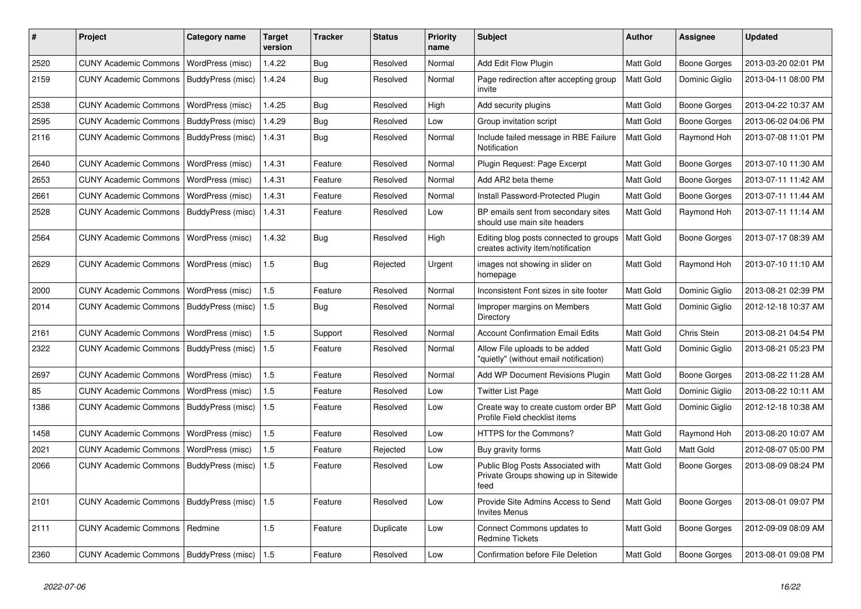| #    | Project                                   | Category name     | <b>Target</b><br>version | <b>Tracker</b> | <b>Status</b> | <b>Priority</b><br>name | <b>Subject</b>                                                                     | <b>Author</b>    | <b>Assignee</b>     | <b>Updated</b>      |
|------|-------------------------------------------|-------------------|--------------------------|----------------|---------------|-------------------------|------------------------------------------------------------------------------------|------------------|---------------------|---------------------|
| 2520 | <b>CUNY Academic Commons</b>              | WordPress (misc)  | 1.4.22                   | Bug            | Resolved      | Normal                  | Add Edit Flow Plugin                                                               | Matt Gold        | Boone Gorges        | 2013-03-20 02:01 PM |
| 2159 | <b>CUNY Academic Commons</b>              | BuddyPress (misc) | 1.4.24                   | Bug            | Resolved      | Normal                  | Page redirection after accepting group<br>invite                                   | Matt Gold        | Dominic Giglio      | 2013-04-11 08:00 PM |
| 2538 | <b>CUNY Academic Commons</b>              | WordPress (misc)  | 1.4.25                   | Bug            | Resolved      | High                    | Add security plugins                                                               | Matt Gold        | Boone Gorges        | 2013-04-22 10:37 AM |
| 2595 | <b>CUNY Academic Commons</b>              | BuddyPress (misc) | 1.4.29                   | Bug            | Resolved      | Low                     | Group invitation script                                                            | Matt Gold        | Boone Gorges        | 2013-06-02 04:06 PM |
| 2116 | <b>CUNY Academic Commons</b>              | BuddyPress (misc) | 1.4.31                   | <b>Bug</b>     | Resolved      | Normal                  | Include failed message in RBE Failure<br>Notification                              | Matt Gold        | Raymond Hoh         | 2013-07-08 11:01 PM |
| 2640 | <b>CUNY Academic Commons</b>              | WordPress (misc)  | 1.4.31                   | Feature        | Resolved      | Normal                  | Plugin Request: Page Excerpt                                                       | Matt Gold        | Boone Gorges        | 2013-07-10 11:30 AM |
| 2653 | <b>CUNY Academic Commons</b>              | WordPress (misc)  | 1.4.31                   | Feature        | Resolved      | Normal                  | Add AR2 beta theme                                                                 | <b>Matt Gold</b> | Boone Gorges        | 2013-07-11 11:42 AM |
| 2661 | <b>CUNY Academic Commons</b>              | WordPress (misc)  | 1.4.31                   | Feature        | Resolved      | Normal                  | Install Password-Protected Plugin                                                  | <b>Matt Gold</b> | Boone Gorges        | 2013-07-11 11:44 AM |
| 2528 | <b>CUNY Academic Commons</b>              | BuddyPress (misc) | 1.4.31                   | Feature        | Resolved      | Low                     | BP emails sent from secondary sites<br>should use main site headers                | Matt Gold        | Raymond Hoh         | 2013-07-11 11:14 AM |
| 2564 | <b>CUNY Academic Commons</b>              | WordPress (misc)  | 1.4.32                   | Bug            | Resolved      | High                    | Editing blog posts connected to groups<br>creates activity item/notification       | Matt Gold        | Boone Gorges        | 2013-07-17 08:39 AM |
| 2629 | <b>CUNY Academic Commons</b>              | WordPress (misc)  | 1.5                      | <b>Bug</b>     | Rejected      | Urgent                  | images not showing in slider on<br>homepage                                        | Matt Gold        | Raymond Hoh         | 2013-07-10 11:10 AM |
| 2000 | <b>CUNY Academic Commons</b>              | WordPress (misc)  | 1.5                      | Feature        | Resolved      | Normal                  | Inconsistent Font sizes in site footer                                             | Matt Gold        | Dominic Giglio      | 2013-08-21 02:39 PM |
| 2014 | CUNY Academic Commons                     | BuddyPress (misc) | 1.5                      | Bug            | Resolved      | Normal                  | Improper margins on Members<br>Directory                                           | <b>Matt Gold</b> | Dominic Giglio      | 2012-12-18 10:37 AM |
| 2161 | <b>CUNY Academic Commons</b>              | WordPress (misc)  | 1.5                      | Support        | Resolved      | Normal                  | <b>Account Confirmation Email Edits</b>                                            | Matt Gold        | Chris Stein         | 2013-08-21 04:54 PM |
| 2322 | <b>CUNY Academic Commons</b>              | BuddyPress (misc) | 1.5                      | Feature        | Resolved      | Normal                  | Allow File uploads to be added<br>"quietly" (without email notification)           | <b>Matt Gold</b> | Dominic Giglio      | 2013-08-21 05:23 PM |
| 2697 | <b>CUNY Academic Commons</b>              | WordPress (misc)  | 1.5                      | Feature        | Resolved      | Normal                  | Add WP Document Revisions Plugin                                                   | Matt Gold        | Boone Gorges        | 2013-08-22 11:28 AM |
| 85   | <b>CUNY Academic Commons</b>              | WordPress (misc)  | 1.5                      | Feature        | Resolved      | Low                     | <b>Twitter List Page</b>                                                           | Matt Gold        | Dominic Giglio      | 2013-08-22 10:11 AM |
| 1386 | <b>CUNY Academic Commons</b>              | BuddyPress (misc) | 1.5                      | Feature        | Resolved      | Low                     | Create way to create custom order BP<br>Profile Field checklist items              | Matt Gold        | Dominic Giglio      | 2012-12-18 10:38 AM |
| 1458 | <b>CUNY Academic Commons</b>              | WordPress (misc)  | 1.5                      | Feature        | Resolved      | Low                     | HTTPS for the Commons?                                                             | Matt Gold        | Raymond Hoh         | 2013-08-20 10:07 AM |
| 2021 | <b>CUNY Academic Commons</b>              | WordPress (misc)  | 1.5                      | Feature        | Rejected      | Low                     | Buy gravity forms                                                                  | Matt Gold        | Matt Gold           | 2012-08-07 05:00 PM |
| 2066 | <b>CUNY Academic Commons</b>              | BuddyPress (misc) | 1.5                      | Feature        | Resolved      | Low                     | Public Blog Posts Associated with<br>Private Groups showing up in Sitewide<br>feed | Matt Gold        | Boone Gorges        | 2013-08-09 08:24 PM |
| 2101 | <b>CUNY Academic Commons</b>              | BuddyPress (misc) | 1.5                      | Feature        | Resolved      | Low                     | Provide Site Admins Access to Send<br><b>Invites Menus</b>                         | Matt Gold        | Boone Gorges        | 2013-08-01 09:07 PM |
| 2111 | <b>CUNY Academic Commons</b>              | Redmine           | 1.5                      | Feature        | Duplicate     | Low                     | Connect Commons updates to<br><b>Redmine Tickets</b>                               | Matt Gold        | Boone Gorges        | 2012-09-09 08:09 AM |
| 2360 | CUNY Academic Commons   BuddyPress (misc) |                   | 1.5                      | Feature        | Resolved      | Low                     | Confirmation before File Deletion                                                  | Matt Gold        | <b>Boone Gorges</b> | 2013-08-01 09:08 PM |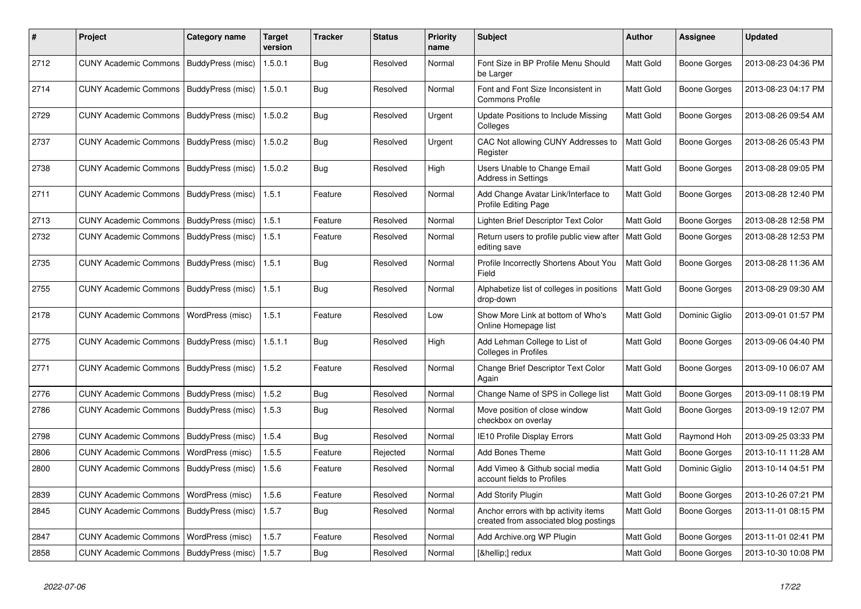| #    | <b>Project</b>                            | Category name     | <b>Target</b><br>version | Tracker    | <b>Status</b> | <b>Priority</b><br>name | <b>Subject</b>                                                                | <b>Author</b> | Assignee            | <b>Updated</b>      |
|------|-------------------------------------------|-------------------|--------------------------|------------|---------------|-------------------------|-------------------------------------------------------------------------------|---------------|---------------------|---------------------|
| 2712 | <b>CUNY Academic Commons</b>              | BuddyPress (misc) | 1.5.0.1                  | Bug        | Resolved      | Normal                  | Font Size in BP Profile Menu Should<br>be Larger                              | Matt Gold     | Boone Gorges        | 2013-08-23 04:36 PM |
| 2714 | <b>CUNY Academic Commons</b>              | BuddyPress (misc) | 1.5.0.1                  | <b>Bug</b> | Resolved      | Normal                  | Font and Font Size Inconsistent in<br><b>Commons Profile</b>                  | Matt Gold     | <b>Boone Gorges</b> | 2013-08-23 04:17 PM |
| 2729 | <b>CUNY Academic Commons</b>              | BuddyPress (misc) | 1.5.0.2                  | <b>Bug</b> | Resolved      | Urgent                  | Update Positions to Include Missing<br>Colleges                               | Matt Gold     | <b>Boone Gorges</b> | 2013-08-26 09:54 AM |
| 2737 | <b>CUNY Academic Commons</b>              | BuddyPress (misc) | 1.5.0.2                  | Bug        | Resolved      | Urgent                  | CAC Not allowing CUNY Addresses to<br>Register                                | Matt Gold     | Boone Gorges        | 2013-08-26 05:43 PM |
| 2738 | <b>CUNY Academic Commons</b>              | BuddyPress (misc) | 1.5.0.2                  | <b>Bug</b> | Resolved      | High                    | Users Unable to Change Email<br><b>Address in Settings</b>                    | Matt Gold     | <b>Boone Gorges</b> | 2013-08-28 09:05 PM |
| 2711 | <b>CUNY Academic Commons</b>              | BuddyPress (misc) | 1.5.1                    | Feature    | Resolved      | Normal                  | Add Change Avatar Link/Interface to<br><b>Profile Editing Page</b>            | Matt Gold     | <b>Boone Gorges</b> | 2013-08-28 12:40 PM |
| 2713 | <b>CUNY Academic Commons</b>              | BuddyPress (misc) | 1.5.1                    | Feature    | Resolved      | Normal                  | Lighten Brief Descriptor Text Color                                           | Matt Gold     | Boone Gorges        | 2013-08-28 12:58 PM |
| 2732 | <b>CUNY Academic Commons</b>              | BuddyPress (misc) | 1.5.1                    | Feature    | Resolved      | Normal                  | Return users to profile public view after<br>editing save                     | Matt Gold     | Boone Gorges        | 2013-08-28 12:53 PM |
| 2735 | <b>CUNY Academic Commons</b>              | BuddyPress (misc) | 1.5.1                    | Bug        | Resolved      | Normal                  | Profile Incorrectly Shortens About You<br>Field                               | Matt Gold     | <b>Boone Gorges</b> | 2013-08-28 11:36 AM |
| 2755 | <b>CUNY Academic Commons</b>              | BuddyPress (misc) | 1.5.1                    | Bug        | Resolved      | Normal                  | Alphabetize list of colleges in positions<br>drop-down                        | Matt Gold     | <b>Boone Gorges</b> | 2013-08-29 09:30 AM |
| 2178 | <b>CUNY Academic Commons</b>              | WordPress (misc)  | 1.5.1                    | Feature    | Resolved      | Low                     | Show More Link at bottom of Who's<br>Online Homepage list                     | Matt Gold     | Dominic Giglio      | 2013-09-01 01:57 PM |
| 2775 | <b>CUNY Academic Commons</b>              | BuddyPress (misc) | 1.5.1.1                  | <b>Bug</b> | Resolved      | High                    | Add Lehman College to List of<br>Colleges in Profiles                         | Matt Gold     | Boone Gorges        | 2013-09-06 04:40 PM |
| 2771 | <b>CUNY Academic Commons</b>              | BuddyPress (misc) | 1.5.2                    | Feature    | Resolved      | Normal                  | Change Brief Descriptor Text Color<br>Again                                   | Matt Gold     | <b>Boone Gorges</b> | 2013-09-10 06:07 AM |
| 2776 | <b>CUNY Academic Commons</b>              | BuddyPress (misc) | 1.5.2                    | <b>Bug</b> | Resolved      | Normal                  | Change Name of SPS in College list                                            | Matt Gold     | <b>Boone Gorges</b> | 2013-09-11 08:19 PM |
| 2786 | <b>CUNY Academic Commons</b>              | BuddyPress (misc) | 1.5.3                    | Bug        | Resolved      | Normal                  | Move position of close window<br>checkbox on overlay                          | Matt Gold     | Boone Gorges        | 2013-09-19 12:07 PM |
| 2798 | <b>CUNY Academic Commons</b>              | BuddyPress (misc) | 1.5.4                    | Bug        | Resolved      | Normal                  | <b>IE10 Profile Display Errors</b>                                            | Matt Gold     | Raymond Hoh         | 2013-09-25 03:33 PM |
| 2806 | <b>CUNY Academic Commons</b>              | WordPress (misc)  | 1.5.5                    | Feature    | Rejected      | Normal                  | <b>Add Bones Theme</b>                                                        | Matt Gold     | Boone Gorges        | 2013-10-11 11:28 AM |
| 2800 | <b>CUNY Academic Commons</b>              | BuddyPress (misc) | 1.5.6                    | Feature    | Resolved      | Normal                  | Add Vimeo & Github social media<br>account fields to Profiles                 | Matt Gold     | Dominic Giglio      | 2013-10-14 04:51 PM |
| 2839 | <b>CUNY Academic Commons</b>              | WordPress (misc)  | 1.5.6                    | Feature    | Resolved      | Normal                  | Add Storify Plugin                                                            | Matt Gold     | <b>Boone Gorges</b> | 2013-10-26 07:21 PM |
| 2845 | <b>CUNY Academic Commons</b>              | BuddyPress (misc) | 1.5.7                    | Bug        | Resolved      | Normal                  | Anchor errors with bp activity items<br>created from associated blog postings | Matt Gold     | Boone Gorges        | 2013-11-01 08:15 PM |
| 2847 | <b>CUNY Academic Commons</b>              | WordPress (misc)  | 1.5.7                    | Feature    | Resolved      | Normal                  | Add Archive.org WP Plugin                                                     | Matt Gold     | Boone Gorges        | 2013-11-01 02:41 PM |
| 2858 | CUNY Academic Commons   BuddyPress (misc) |                   | 1.5.7                    | Bug        | Resolved      | Normal                  | […] redux                                                                     | Matt Gold     | Boone Gorges        | 2013-10-30 10:08 PM |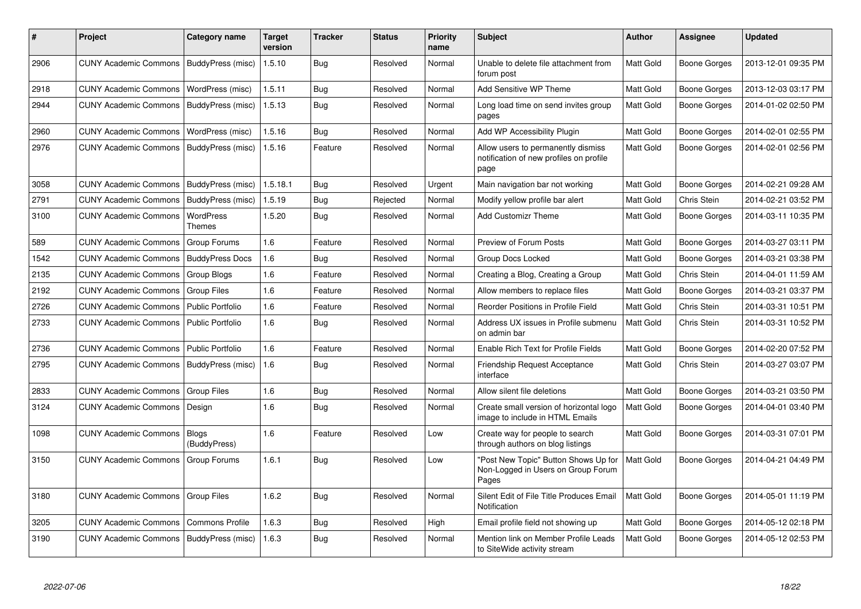| $\vert$ # | Project                                   | Category name           | <b>Target</b><br>version | Tracker    | <b>Status</b> | <b>Priority</b><br>name | <b>Subject</b>                                                                        | <b>Author</b>    | Assignee            | <b>Updated</b>      |
|-----------|-------------------------------------------|-------------------------|--------------------------|------------|---------------|-------------------------|---------------------------------------------------------------------------------------|------------------|---------------------|---------------------|
| 2906      | CUNY Academic Commons   BuddyPress (misc) |                         | 1.5.10                   | <b>Bug</b> | Resolved      | Normal                  | Unable to delete file attachment from<br>forum post                                   | Matt Gold        | <b>Boone Gorges</b> | 2013-12-01 09:35 PM |
| 2918      | <b>CUNY Academic Commons</b>              | WordPress (misc)        | 1.5.11                   | Bug        | Resolved      | Normal                  | Add Sensitive WP Theme                                                                | Matt Gold        | Boone Gorges        | 2013-12-03 03:17 PM |
| 2944      | <b>CUNY Academic Commons</b>              | BuddyPress (misc)       | 1.5.13                   | Bug        | Resolved      | Normal                  | Long load time on send invites group<br>pages                                         | Matt Gold        | Boone Gorges        | 2014-01-02 02:50 PM |
| 2960      | <b>CUNY Academic Commons</b>              | WordPress (misc)        | 1.5.16                   | Bug        | Resolved      | Normal                  | Add WP Accessibility Plugin                                                           | Matt Gold        | Boone Gorges        | 2014-02-01 02:55 PM |
| 2976      | <b>CUNY Academic Commons</b>              | BuddyPress (misc)       | 1.5.16                   | Feature    | Resolved      | Normal                  | Allow users to permanently dismiss<br>notification of new profiles on profile<br>page | Matt Gold        | Boone Gorges        | 2014-02-01 02:56 PM |
| 3058      | <b>CUNY Academic Commons</b>              | BuddyPress (misc)       | 1.5.18.1                 | Bug        | Resolved      | Urgent                  | Main navigation bar not working                                                       | Matt Gold        | Boone Gorges        | 2014-02-21 09:28 AM |
| 2791      | <b>CUNY Academic Commons</b>              | BuddyPress (misc)       | 1.5.19                   | Bug        | Rejected      | Normal                  | Modify yellow profile bar alert                                                       | Matt Gold        | Chris Stein         | 2014-02-21 03:52 PM |
| 3100      | <b>CUNY Academic Commons</b>              | WordPress<br>Themes     | 1.5.20                   | Bug        | Resolved      | Normal                  | <b>Add Customizr Theme</b>                                                            | Matt Gold        | Boone Gorges        | 2014-03-11 10:35 PM |
| 589       | <b>CUNY Academic Commons</b>              | Group Forums            | 1.6                      | Feature    | Resolved      | Normal                  | Preview of Forum Posts                                                                | Matt Gold        | Boone Gorges        | 2014-03-27 03:11 PM |
| 1542      | <b>CUNY Academic Commons</b>              | <b>BuddyPress Docs</b>  | 1.6                      | Bug        | Resolved      | Normal                  | Group Docs Locked                                                                     | Matt Gold        | Boone Gorges        | 2014-03-21 03:38 PM |
| 2135      | <b>CUNY Academic Commons</b>              | <b>Group Blogs</b>      | 1.6                      | Feature    | Resolved      | Normal                  | Creating a Blog, Creating a Group                                                     | Matt Gold        | Chris Stein         | 2014-04-01 11:59 AM |
| 2192      | <b>CUNY Academic Commons</b>              | Group Files             | 1.6                      | Feature    | Resolved      | Normal                  | Allow members to replace files                                                        | Matt Gold        | Boone Gorges        | 2014-03-21 03:37 PM |
| 2726      | <b>CUNY Academic Commons</b>              | <b>Public Portfolio</b> | 1.6                      | Feature    | Resolved      | Normal                  | Reorder Positions in Profile Field                                                    | Matt Gold        | Chris Stein         | 2014-03-31 10:51 PM |
| 2733      | <b>CUNY Academic Commons</b>              | <b>Public Portfolio</b> | 1.6                      | <b>Bug</b> | Resolved      | Normal                  | Address UX issues in Profile submenu<br>on admin bar                                  | <b>Matt Gold</b> | Chris Stein         | 2014-03-31 10:52 PM |
| 2736      | <b>CUNY Academic Commons</b>              | <b>Public Portfolio</b> | 1.6                      | Feature    | Resolved      | Normal                  | Enable Rich Text for Profile Fields                                                   | Matt Gold        | Boone Gorges        | 2014-02-20 07:52 PM |
| 2795      | <b>CUNY Academic Commons</b>              | BuddyPress (misc)       | 1.6                      | Bug        | Resolved      | Normal                  | Friendship Request Acceptance<br>interface                                            | <b>Matt Gold</b> | Chris Stein         | 2014-03-27 03:07 PM |
| 2833      | <b>CUNY Academic Commons</b>              | <b>Group Files</b>      | 1.6                      | Bug        | Resolved      | Normal                  | Allow silent file deletions                                                           | Matt Gold        | Boone Gorges        | 2014-03-21 03:50 PM |
| 3124      | <b>CUNY Academic Commons</b>              | Design                  | 1.6                      | Bug        | Resolved      | Normal                  | Create small version of horizontal logo<br>image to include in HTML Emails            | Matt Gold        | Boone Gorges        | 2014-04-01 03:40 PM |
| 1098      | <b>CUNY Academic Commons</b>              | Blogs<br>(BuddyPress)   | 1.6                      | Feature    | Resolved      | Low                     | Create way for people to search<br>through authors on blog listings                   | Matt Gold        | Boone Gorges        | 2014-03-31 07:01 PM |
| 3150      | <b>CUNY Academic Commons</b>              | Group Forums            | 1.6.1                    | Bug        | Resolved      | Low                     | "Post New Topic" Button Shows Up for<br>Non-Logged in Users on Group Forum<br>Pages   | <b>Matt Gold</b> | Boone Gorges        | 2014-04-21 04:49 PM |
| 3180      | <b>CUNY Academic Commons</b>              | <b>Group Files</b>      | 1.6.2                    | Bug        | Resolved      | Normal                  | Silent Edit of File Title Produces Email<br>Notification                              | Matt Gold        | <b>Boone Gorges</b> | 2014-05-01 11:19 PM |
| 3205      | <b>CUNY Academic Commons</b>              | <b>Commons Profile</b>  | 1.6.3                    | Bug        | Resolved      | High                    | Email profile field not showing up                                                    | Matt Gold        | Boone Gorges        | 2014-05-12 02:18 PM |
| 3190      | <b>CUNY Academic Commons</b>              | BuddyPress (misc)       | 1.6.3                    | <b>Bug</b> | Resolved      | Normal                  | Mention link on Member Profile Leads<br>to SiteWide activity stream                   | Matt Gold        | Boone Gorges        | 2014-05-12 02:53 PM |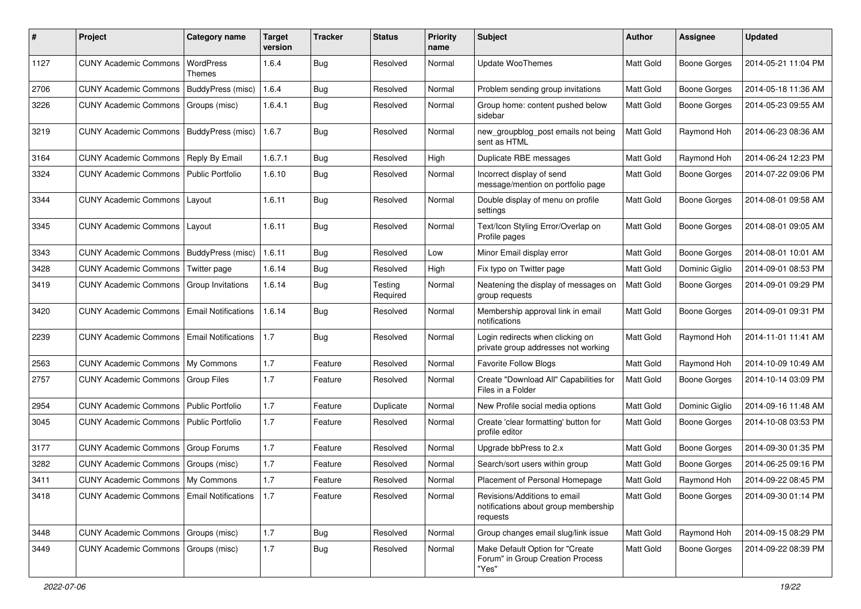| #    | Project                               | <b>Category name</b>       | <b>Target</b><br>version | <b>Tracker</b> | <b>Status</b>       | <b>Priority</b><br>name | Subject                                                                          | <b>Author</b> | Assignee            | <b>Updated</b>      |
|------|---------------------------------------|----------------------------|--------------------------|----------------|---------------------|-------------------------|----------------------------------------------------------------------------------|---------------|---------------------|---------------------|
| 1127 | <b>CUNY Academic Commons</b>          | WordPress<br>Themes        | 1.6.4                    | <b>Bug</b>     | Resolved            | Normal                  | <b>Update WooThemes</b>                                                          | Matt Gold     | <b>Boone Gorges</b> | 2014-05-21 11:04 PM |
| 2706 | <b>CUNY Academic Commons</b>          | BuddyPress (misc)          | 1.6.4                    | Bug            | Resolved            | Normal                  | Problem sending group invitations                                                | Matt Gold     | <b>Boone Gorges</b> | 2014-05-18 11:36 AM |
| 3226 | <b>CUNY Academic Commons</b>          | Groups (misc)              | 1.6.4.1                  | <b>Bug</b>     | Resolved            | Normal                  | Group home: content pushed below<br>sidebar                                      | Matt Gold     | <b>Boone Gorges</b> | 2014-05-23 09:55 AM |
| 3219 | <b>CUNY Academic Commons</b>          | BuddyPress (misc)          | 1.6.7                    | Bug            | Resolved            | Normal                  | new_groupblog_post emails not being<br>sent as HTML                              | Matt Gold     | Raymond Hoh         | 2014-06-23 08:36 AM |
| 3164 | <b>CUNY Academic Commons</b>          | Reply By Email             | 1.6.7.1                  | Bug            | Resolved            | High                    | Duplicate RBE messages                                                           | Matt Gold     | Raymond Hoh         | 2014-06-24 12:23 PM |
| 3324 | <b>CUNY Academic Commons</b>          | <b>Public Portfolio</b>    | 1.6.10                   | Bug            | Resolved            | Normal                  | Incorrect display of send<br>message/mention on portfolio page                   | Matt Gold     | <b>Boone Gorges</b> | 2014-07-22 09:06 PM |
| 3344 | <b>CUNY Academic Commons</b>          | Layout                     | 1.6.11                   | Bug            | Resolved            | Normal                  | Double display of menu on profile<br>settings                                    | Matt Gold     | <b>Boone Gorges</b> | 2014-08-01 09:58 AM |
| 3345 | <b>CUNY Academic Commons</b>          | Layout                     | 1.6.11                   | Bug            | Resolved            | Normal                  | Text/Icon Styling Error/Overlap on<br>Profile pages                              | Matt Gold     | <b>Boone Gorges</b> | 2014-08-01 09:05 AM |
| 3343 | <b>CUNY Academic Commons</b>          | BuddyPress (misc)          | 1.6.11                   | <b>Bug</b>     | Resolved            | Low                     | Minor Email display error                                                        | Matt Gold     | <b>Boone Gorges</b> | 2014-08-01 10:01 AM |
| 3428 | <b>CUNY Academic Commons</b>          | Twitter page               | 1.6.14                   | Bug            | Resolved            | High                    | Fix typo on Twitter page                                                         | Matt Gold     | Dominic Giglio      | 2014-09-01 08:53 PM |
| 3419 | <b>CUNY Academic Commons</b>          | Group Invitations          | 1.6.14                   | Bug            | Testing<br>Required | Normal                  | Neatening the display of messages on<br>group requests                           | Matt Gold     | <b>Boone Gorges</b> | 2014-09-01 09:29 PM |
| 3420 | <b>CUNY Academic Commons</b>          | <b>Email Notifications</b> | 1.6.14                   | Bug            | Resolved            | Normal                  | Membership approval link in email<br>notifications                               | Matt Gold     | <b>Boone Gorges</b> | 2014-09-01 09:31 PM |
| 2239 | <b>CUNY Academic Commons</b>          | <b>Email Notifications</b> | 1.7                      | Bug            | Resolved            | Normal                  | Login redirects when clicking on<br>private group addresses not working          | Matt Gold     | Raymond Hoh         | 2014-11-01 11:41 AM |
| 2563 | <b>CUNY Academic Commons</b>          | My Commons                 | 1.7                      | Feature        | Resolved            | Normal                  | <b>Favorite Follow Blogs</b>                                                     | Matt Gold     | Raymond Hoh         | 2014-10-09 10:49 AM |
| 2757 | <b>CUNY Academic Commons</b>          | <b>Group Files</b>         | 1.7                      | Feature        | Resolved            | Normal                  | Create "Download All" Capabilities for<br>Files in a Folder                      | Matt Gold     | <b>Boone Gorges</b> | 2014-10-14 03:09 PM |
| 2954 | <b>CUNY Academic Commons</b>          | Public Portfolio           | 1.7                      | Feature        | Duplicate           | Normal                  | New Profile social media options                                                 | Matt Gold     | Dominic Giglio      | 2014-09-16 11:48 AM |
| 3045 | <b>CUNY Academic Commons</b>          | <b>Public Portfolio</b>    | 1.7                      | Feature        | Resolved            | Normal                  | Create 'clear formatting' button for<br>profile editor                           | Matt Gold     | Boone Gorges        | 2014-10-08 03:53 PM |
| 3177 | <b>CUNY Academic Commons</b>          | <b>Group Forums</b>        | 1.7                      | Feature        | Resolved            | Normal                  | Upgrade bbPress to 2.x                                                           | Matt Gold     | <b>Boone Gorges</b> | 2014-09-30 01:35 PM |
| 3282 | <b>CUNY Academic Commons</b>          | Groups (misc)              | 1.7                      | Feature        | Resolved            | Normal                  | Search/sort users within group                                                   | Matt Gold     | <b>Boone Gorges</b> | 2014-06-25 09:16 PM |
| 3411 | CUNY Academic Commons   My Commons    |                            | 1.7                      | Feature        | Resolved            | Normal                  | Placement of Personal Homepage                                                   | Matt Gold     | Raymond Hoh         | 2014-09-22 08:45 PM |
| 3418 | <b>CUNY Academic Commons</b>          | <b>Email Notifications</b> | 1.7                      | Feature        | Resolved            | Normal                  | Revisions/Additions to email<br>notifications about group membership<br>requests | Matt Gold     | Boone Gorges        | 2014-09-30 01:14 PM |
| 3448 | <b>CUNY Academic Commons</b>          | Groups (misc)              | 1.7                      | Bug            | Resolved            | Normal                  | Group changes email slug/link issue                                              | Matt Gold     | Raymond Hoh         | 2014-09-15 08:29 PM |
| 3449 | CUNY Academic Commons   Groups (misc) |                            | 1.7                      | <b>Bug</b>     | Resolved            | Normal                  | Make Default Option for "Create<br>Forum" in Group Creation Process<br>"Yes"     | Matt Gold     | <b>Boone Gorges</b> | 2014-09-22 08:39 PM |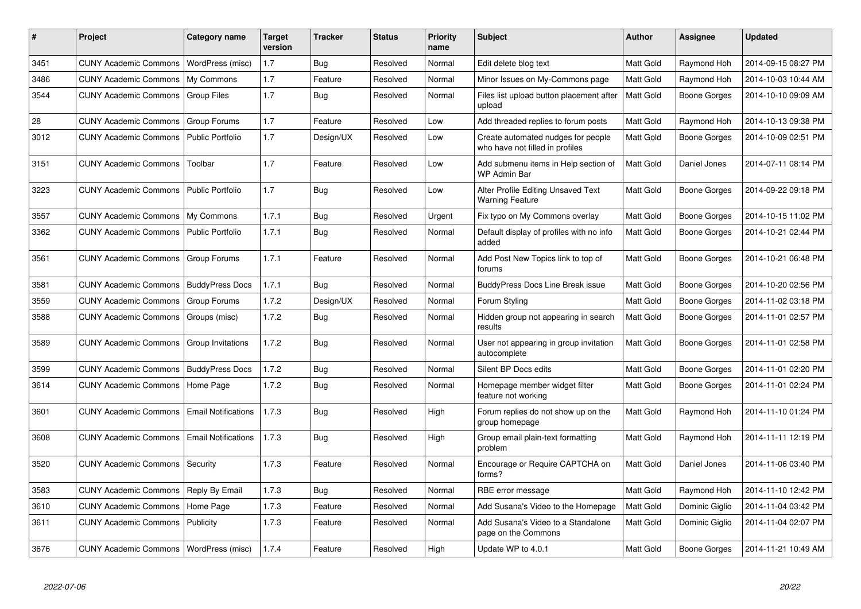| #    | <b>Project</b>                                  | Category name              | <b>Target</b><br>version | <b>Tracker</b> | <b>Status</b> | <b>Priority</b><br>name | <b>Subject</b>                                                        | <b>Author</b>    | Assignee            | <b>Updated</b>      |
|------|-------------------------------------------------|----------------------------|--------------------------|----------------|---------------|-------------------------|-----------------------------------------------------------------------|------------------|---------------------|---------------------|
| 3451 | <b>CUNY Academic Commons</b>                    | WordPress (misc)           | 1.7                      | Bug            | Resolved      | Normal                  | Edit delete blog text                                                 | Matt Gold        | Raymond Hoh         | 2014-09-15 08:27 PM |
| 3486 | <b>CUNY Academic Commons</b>                    | My Commons                 | 1.7                      | Feature        | Resolved      | Normal                  | Minor Issues on My-Commons page                                       | Matt Gold        | Raymond Hoh         | 2014-10-03 10:44 AM |
| 3544 | <b>CUNY Academic Commons</b>                    | <b>Group Files</b>         | 1.7                      | Bug            | Resolved      | Normal                  | Files list upload button placement after<br>upload                    | Matt Gold        | <b>Boone Gorges</b> | 2014-10-10 09:09 AM |
| 28   | <b>CUNY Academic Commons</b>                    | Group Forums               | 1.7                      | Feature        | Resolved      | Low                     | Add threaded replies to forum posts                                   | Matt Gold        | Raymond Hoh         | 2014-10-13 09:38 PM |
| 3012 | <b>CUNY Academic Commons</b>                    | <b>Public Portfolio</b>    | 1.7                      | Design/UX      | Resolved      | Low                     | Create automated nudges for people<br>who have not filled in profiles | Matt Gold        | Boone Gorges        | 2014-10-09 02:51 PM |
| 3151 | <b>CUNY Academic Commons</b>                    | Toolbar                    | 1.7                      | Feature        | Resolved      | Low                     | Add submenu items in Help section of<br>WP Admin Bar                  | Matt Gold        | Daniel Jones        | 2014-07-11 08:14 PM |
| 3223 | <b>CUNY Academic Commons</b>                    | <b>Public Portfolio</b>    | 1.7                      | Bug            | Resolved      | Low                     | Alter Profile Editing Unsaved Text<br><b>Warning Feature</b>          | Matt Gold        | Boone Gorges        | 2014-09-22 09:18 PM |
| 3557 | CUNY Academic Commons   My Commons              |                            | 1.7.1                    | <b>Bug</b>     | Resolved      | Urgent                  | Fix typo on My Commons overlay                                        | Matt Gold        | Boone Gorges        | 2014-10-15 11:02 PM |
| 3362 | <b>CUNY Academic Commons   Public Portfolio</b> |                            | 1.7.1                    | Bug            | Resolved      | Normal                  | Default display of profiles with no info<br>added                     | Matt Gold        | Boone Gorges        | 2014-10-21 02:44 PM |
| 3561 | <b>CUNY Academic Commons</b>                    | Group Forums               | 1.7.1                    | Feature        | Resolved      | Normal                  | Add Post New Topics link to top of<br>forums                          | Matt Gold        | Boone Gorges        | 2014-10-21 06:48 PM |
| 3581 | <b>CUNY Academic Commons</b>                    | <b>BuddyPress Docs</b>     | 1.7.1                    | <b>Bug</b>     | Resolved      | Normal                  | <b>BuddyPress Docs Line Break issue</b>                               | Matt Gold        | Boone Gorges        | 2014-10-20 02:56 PM |
| 3559 | <b>CUNY Academic Commons</b>                    | Group Forums               | 1.7.2                    | Design/UX      | Resolved      | Normal                  | Forum Styling                                                         | Matt Gold        | Boone Gorges        | 2014-11-02 03:18 PM |
| 3588 | <b>CUNY Academic Commons</b>                    | Groups (misc)              | 1.7.2                    | Bug            | Resolved      | Normal                  | Hidden group not appearing in search<br>results                       | <b>Matt Gold</b> | Boone Gorges        | 2014-11-01 02:57 PM |
| 3589 | <b>CUNY Academic Commons</b>                    | Group Invitations          | 1.7.2                    | <b>Bug</b>     | Resolved      | Normal                  | User not appearing in group invitation<br>autocomplete                | Matt Gold        | Boone Gorges        | 2014-11-01 02:58 PM |
| 3599 | <b>CUNY Academic Commons</b>                    | <b>BuddyPress Docs</b>     | 1.7.2                    | <b>Bug</b>     | Resolved      | Normal                  | Silent BP Docs edits                                                  | Matt Gold        | Boone Gorges        | 2014-11-01 02:20 PM |
| 3614 | <b>CUNY Academic Commons</b>                    | Home Page                  | 1.7.2                    | Bug            | Resolved      | Normal                  | Homepage member widget filter<br>feature not working                  | Matt Gold        | Boone Gorges        | 2014-11-01 02:24 PM |
| 3601 | <b>CUNY Academic Commons</b>                    | <b>Email Notifications</b> | 1.7.3                    | Bug            | Resolved      | High                    | Forum replies do not show up on the<br>group homepage                 | Matt Gold        | Raymond Hoh         | 2014-11-10 01:24 PM |
| 3608 | <b>CUNY Academic Commons</b>                    | <b>Email Notifications</b> | 1.7.3                    | <b>Bug</b>     | Resolved      | High                    | Group email plain-text formatting<br>problem                          | Matt Gold        | Raymond Hoh         | 2014-11-11 12:19 PM |
| 3520 | <b>CUNY Academic Commons</b>                    | Security                   | 1.7.3                    | Feature        | Resolved      | Normal                  | Encourage or Require CAPTCHA on<br>forms?                             | Matt Gold        | Daniel Jones        | 2014-11-06 03:40 PM |
| 3583 | <b>CUNY Academic Commons</b>                    | Reply By Email             | 1.7.3                    | <b>Bug</b>     | Resolved      | Normal                  | RBE error message                                                     | Matt Gold        | Raymond Hoh         | 2014-11-10 12:42 PM |
| 3610 | <b>CUNY Academic Commons</b>                    | Home Page                  | 1.7.3                    | Feature        | Resolved      | Normal                  | Add Susana's Video to the Homepage                                    | Matt Gold        | Dominic Giglio      | 2014-11-04 03:42 PM |
| 3611 | <b>CUNY Academic Commons</b>                    | Publicity                  | 1.7.3                    | Feature        | Resolved      | Normal                  | Add Susana's Video to a Standalone<br>page on the Commons             | Matt Gold        | Dominic Giglio      | 2014-11-04 02:07 PM |
| 3676 | CUNY Academic Commons   WordPress (misc)        |                            | 1.7.4                    | Feature        | Resolved      | High                    | Update WP to 4.0.1                                                    | Matt Gold        | Boone Gorges        | 2014-11-21 10:49 AM |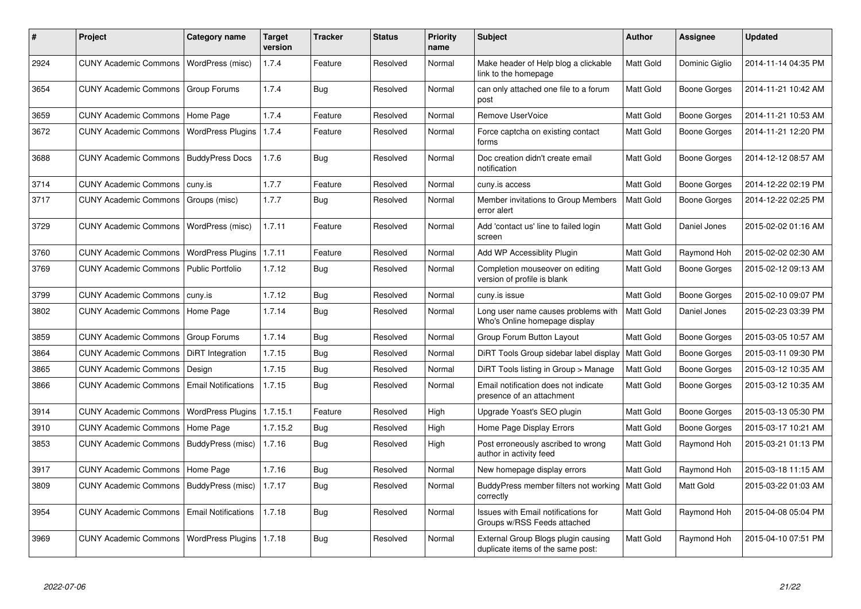| #    | <b>Project</b>                           | Category name              | <b>Target</b><br>version | <b>Tracker</b> | <b>Status</b> | Priority<br>name | <b>Subject</b>                                                           | <b>Author</b>    | Assignee            | <b>Updated</b>      |
|------|------------------------------------------|----------------------------|--------------------------|----------------|---------------|------------------|--------------------------------------------------------------------------|------------------|---------------------|---------------------|
| 2924 | CUNY Academic Commons   WordPress (misc) |                            | 1.7.4                    | Feature        | Resolved      | Normal           | Make header of Help blog a clickable<br>link to the homepage             | Matt Gold        | Dominic Giglio      | 2014-11-14 04:35 PM |
| 3654 | <b>CUNY Academic Commons</b>             | Group Forums               | 1.7.4                    | Bug            | Resolved      | Normal           | can only attached one file to a forum<br>post                            | Matt Gold        | Boone Gorges        | 2014-11-21 10:42 AM |
| 3659 | <b>CUNY Academic Commons</b>             | Home Page                  | 1.7.4                    | Feature        | Resolved      | Normal           | Remove UserVoice                                                         | Matt Gold        | <b>Boone Gorges</b> | 2014-11-21 10:53 AM |
| 3672 | <b>CUNY Academic Commons</b>             | <b>WordPress Plugins</b>   | 1.7.4                    | Feature        | Resolved      | Normal           | Force captcha on existing contact<br>forms                               | Matt Gold        | Boone Gorges        | 2014-11-21 12:20 PM |
| 3688 | <b>CUNY Academic Commons</b>             | <b>BuddyPress Docs</b>     | 1.7.6                    | Bug            | Resolved      | Normal           | Doc creation didn't create email<br>notification                         | Matt Gold        | Boone Gorges        | 2014-12-12 08:57 AM |
| 3714 | <b>CUNY Academic Commons</b>             | cuny.is                    | 1.7.7                    | Feature        | Resolved      | Normal           | cuny.is access                                                           | Matt Gold        | Boone Gorges        | 2014-12-22 02:19 PM |
| 3717 | <b>CUNY Academic Commons</b>             | Groups (misc)              | 1.7.7                    | Bug            | Resolved      | Normal           | Member invitations to Group Members<br>error alert                       | Matt Gold        | Boone Gorges        | 2014-12-22 02:25 PM |
| 3729 | <b>CUNY Academic Commons</b>             | WordPress (misc)           | 1.7.11                   | Feature        | Resolved      | Normal           | Add 'contact us' line to failed login<br>screen                          | Matt Gold        | Daniel Jones        | 2015-02-02 01:16 AM |
| 3760 | <b>CUNY Academic Commons</b>             | <b>WordPress Plugins</b>   | 1.7.11                   | Feature        | Resolved      | Normal           | Add WP Accessiblity Plugin                                               | Matt Gold        | Raymond Hoh         | 2015-02-02 02:30 AM |
| 3769 | <b>CUNY Academic Commons</b>             | <b>Public Portfolio</b>    | 1.7.12                   | Bug            | Resolved      | Normal           | Completion mouseover on editing<br>version of profile is blank           | Matt Gold        | Boone Gorges        | 2015-02-12 09:13 AM |
| 3799 | <b>CUNY Academic Commons</b>             | cuny.is                    | 1.7.12                   | Bug            | Resolved      | Normal           | cuny.is issue                                                            | Matt Gold        | <b>Boone Gorges</b> | 2015-02-10 09:07 PM |
| 3802 | <b>CUNY Academic Commons</b>             | Home Page                  | 1.7.14                   | <b>Bug</b>     | Resolved      | Normal           | Long user name causes problems with<br>Who's Online homepage display     | Matt Gold        | Daniel Jones        | 2015-02-23 03:39 PM |
| 3859 | <b>CUNY Academic Commons</b>             | Group Forums               | 1.7.14                   | Bug            | Resolved      | Normal           | Group Forum Button Layout                                                | Matt Gold        | Boone Gorges        | 2015-03-05 10:57 AM |
| 3864 | <b>CUNY Academic Commons</b>             | DiRT Integration           | 1.7.15                   | Bug            | Resolved      | Normal           | DiRT Tools Group sidebar label display                                   | Matt Gold        | Boone Gorges        | 2015-03-11 09:30 PM |
| 3865 | <b>CUNY Academic Commons</b>             | Design                     | 1.7.15                   | Bug            | Resolved      | Normal           | DiRT Tools listing in Group > Manage                                     | Matt Gold        | Boone Gorges        | 2015-03-12 10:35 AM |
| 3866 | <b>CUNY Academic Commons</b>             | <b>Email Notifications</b> | 1.7.15                   | Bug            | Resolved      | Normal           | Email notification does not indicate<br>presence of an attachment        | Matt Gold        | Boone Gorges        | 2015-03-12 10:35 AM |
| 3914 | <b>CUNY Academic Commons</b>             | <b>WordPress Plugins</b>   | 1.7.15.1                 | Feature        | Resolved      | High             | Upgrade Yoast's SEO plugin                                               | Matt Gold        | Boone Gorges        | 2015-03-13 05:30 PM |
| 3910 | <b>CUNY Academic Commons</b>             | Home Page                  | 1.7.15.2                 | Bug            | Resolved      | High             | Home Page Display Errors                                                 | Matt Gold        | Boone Gorges        | 2015-03-17 10:21 AM |
| 3853 | <b>CUNY Academic Commons</b>             | BuddyPress (misc)          | 1.7.16                   | Bug            | Resolved      | High             | Post erroneously ascribed to wrong<br>author in activity feed            | Matt Gold        | Raymond Hoh         | 2015-03-21 01:13 PM |
| 3917 | <b>CUNY Academic Commons</b>             | Home Page                  | 1.7.16                   | Bug            | Resolved      | Normal           | New homepage display errors                                              | Matt Gold        | Raymond Hoh         | 2015-03-18 11:15 AM |
| 3809 | <b>CUNY Academic Commons</b>             | BuddyPress (misc)          | 1.7.17                   | Bug            | Resolved      | Normal           | BuddyPress member filters not working<br>correctly                       | <b>Matt Gold</b> | Matt Gold           | 2015-03-22 01:03 AM |
| 3954 | <b>CUNY Academic Commons</b>             | <b>Email Notifications</b> | 1.7.18                   | Bug            | Resolved      | Normal           | Issues with Email notifications for<br>Groups w/RSS Feeds attached       | Matt Gold        | Raymond Hoh         | 2015-04-08 05:04 PM |
| 3969 | <b>CUNY Academic Commons</b>             | <b>WordPress Plugins</b>   | 1.7.18                   | Bug            | Resolved      | Normal           | External Group Blogs plugin causing<br>duplicate items of the same post: | Matt Gold        | Raymond Hoh         | 2015-04-10 07:51 PM |